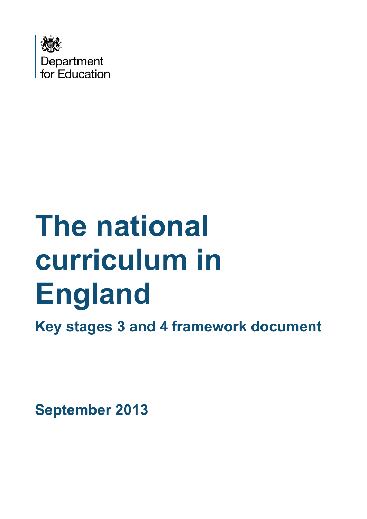

# **The national curriculum in England**

**Key stages 3 and 4 framework document**

**September 2013**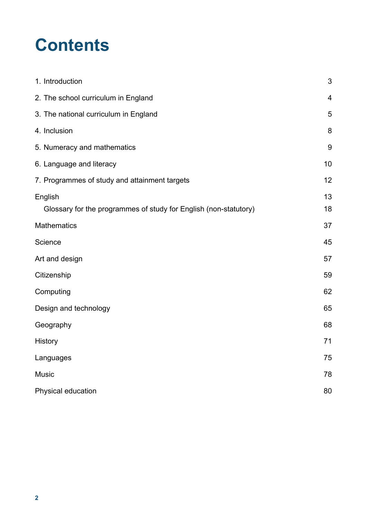# **Contents**

| 1. Introduction                                                  | 3              |
|------------------------------------------------------------------|----------------|
| 2. The school curriculum in England                              | $\overline{4}$ |
| 3. The national curriculum in England                            | 5              |
| 4. Inclusion                                                     | 8              |
| 5. Numeracy and mathematics                                      | $9\,$          |
| 6. Language and literacy                                         | 10             |
| 7. Programmes of study and attainment targets                    | 12             |
| English                                                          | 13             |
| Glossary for the programmes of study for English (non-statutory) | 18             |
| <b>Mathematics</b>                                               | 37             |
| Science                                                          | 45             |
| Art and design                                                   | 57             |
| Citizenship                                                      | 59             |
| Computing                                                        | 62             |
| Design and technology                                            | 65             |
| Geography                                                        | 68             |
| History                                                          | 71             |
| Languages                                                        | 75             |
| <b>Music</b>                                                     | 78             |
| Physical education                                               | 80             |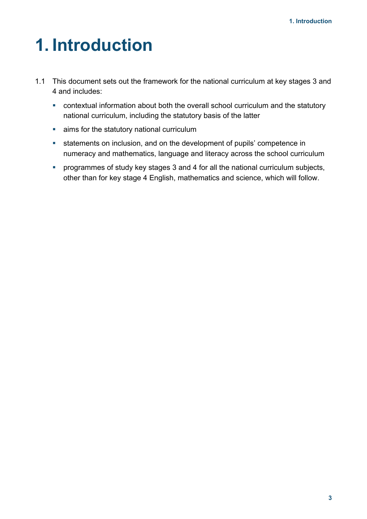# <span id="page-2-0"></span>**1. Introduction**

- 1.1 This document sets out the framework for the national curriculum at key stages 3 and 4 and includes:
	- contextual information about both the overall school curriculum and the statutory national curriculum, including the statutory basis of the latter
	- **all aims for the statutory national curriculum**
	- statements on inclusion, and on the development of pupils' competence in numeracy and mathematics, language and literacy across the school curriculum
	- programmes of study key stages 3 and 4 for all the national curriculum subjects, other than for key stage 4 English, mathematics and science, which will follow.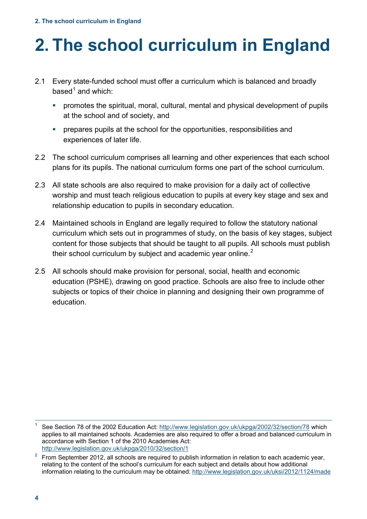# <span id="page-3-0"></span>**2. The school curriculum in England**

- 2.1 Every state-funded school must offer a curriculum which is balanced and broadly based<sup>[1](#page-3-1)</sup> and which:
	- promotes the spiritual, moral, cultural, mental and physical development of pupils at the school and of society, and
	- prepares pupils at the school for the opportunities, responsibilities and experiences of later life.
- 2.2 The school curriculum comprises all learning and other experiences that each school plans for its pupils. The national curriculum forms one part of the school curriculum.
- 2.3 All state schools are also required to make provision for a daily act of collective worship and must teach religious education to pupils at every key stage and sex and relationship education to pupils in secondary education.
- 2.4 Maintained schools in England are legally required to follow the statutory national curriculum which sets out in programmes of study, on the basis of key stages, subject content for those subjects that should be taught to all pupils. All schools must publish their school curriculum by subject and academic year online.<sup>[2](#page-3-2)</sup>
- 2.5 All schools should make provision for personal, social, health and economic education (PSHE), drawing on good practice. Schools are also free to include other subjects or topics of their choice in planning and designing their own programme of education.

<span id="page-3-1"></span>See Section 78 of the 2002 Education Act:<http://www.legislation.gov.uk/ukpga/2002/32/section/78>which applies to all maintained schools. Academies are also required to offer a broad and balanced curriculum in accordance with Section 1 of the 2010 Academies Act: <http://www.legislation.gov.uk/ukpga/2010/32/section/1>

<span id="page-3-2"></span> $2$  From September 2012, all schools are required to publish information in relation to each academic year, relating to the content of the school's curriculum for each subject and details about how additional information relating to the curriculum may be obtained:<http://www.legislation.gov.uk/uksi/2012/1124/made>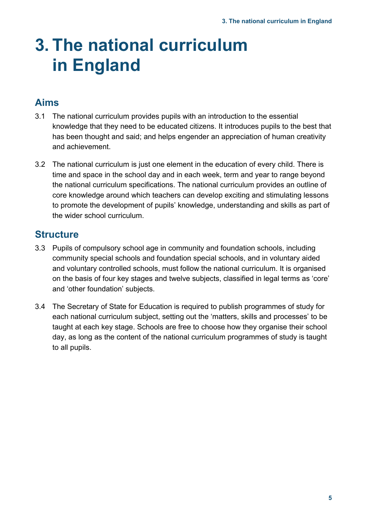# <span id="page-4-0"></span>**3. The national curriculum in England**

### **Aims**

- 3.1 The national curriculum provides pupils with an introduction to the essential knowledge that they need to be educated citizens. It introduces pupils to the best that has been thought and said; and helps engender an appreciation of human creativity and achievement.
- 3.2 The national curriculum is just one element in the education of every child. There is time and space in the school day and in each week, term and year to range beyond the national curriculum specifications. The national curriculum provides an outline of core knowledge around which teachers can develop exciting and stimulating lessons to promote the development of pupils' knowledge, understanding and skills as part of the wider school curriculum.

#### **Structure**

- 3.3 Pupils of compulsory school age in community and foundation schools, including community special schools and foundation special schools, and in voluntary aided and voluntary controlled schools, must follow the national curriculum. It is organised on the basis of four key stages and twelve subjects, classified in legal terms as 'core' and 'other foundation' subjects.
- 3.4 The Secretary of State for Education is required to publish programmes of study for each national curriculum subject, setting out the 'matters, skills and processes' to be taught at each key stage. Schools are free to choose how they organise their school day, as long as the content of the national curriculum programmes of study is taught to all pupils.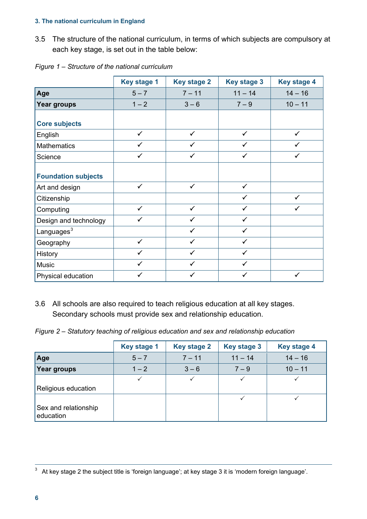#### **3. The national curriculum in England**

3.5 The structure of the national curriculum, in terms of which subjects are compulsory at each key stage, is set out in the table below:

|                            | <b>Key stage 1</b> | <b>Key stage 2</b> | <b>Key stage 3</b> | <b>Key stage 4</b> |
|----------------------------|--------------------|--------------------|--------------------|--------------------|
| Age                        | $5 - 7$            | $7 - 11$           | $11 - 14$          | $14 - 16$          |
| Year groups                | $1 - 2$            | $3 - 6$            | $7 - 9$            | $10 - 11$          |
| <b>Core subjects</b>       |                    |                    |                    |                    |
| English                    | $\checkmark$       | ✓                  | $\checkmark$       | ✓                  |
| Mathematics                |                    | ✓                  | ✓                  |                    |
| Science                    | ✓                  |                    | ✓                  |                    |
| <b>Foundation subjects</b> |                    |                    |                    |                    |
| Art and design             | $\checkmark$       | $\checkmark$       | $\checkmark$       |                    |
| Citizenship                |                    |                    | ✓                  |                    |
| Computing                  | $\checkmark$       | $\checkmark$       | $\checkmark$       |                    |
| Design and technology      |                    | ✓                  | ✓                  |                    |
| Languages $3$              |                    | ✓                  | ✓                  |                    |
| Geography                  | $\checkmark$       | ✓                  | ✓                  |                    |
| History                    |                    | ✓                  | ✓                  |                    |
| Music                      |                    | ✓                  | ✓                  |                    |
| Physical education         |                    | ✓                  | $\checkmark$       |                    |

*Figure 1 – Structure of the national curriculum*

- 3.6 All schools are also required to teach religious education at all key stages. Secondary schools must provide sex and relationship education.
- *Figure 2 Statutory teaching of religious education and sex and relationship education*

|                                   | <b>Key stage 1</b> | <b>Key stage 2</b> | <b>Key stage 3</b> | <b>Key stage 4</b> |
|-----------------------------------|--------------------|--------------------|--------------------|--------------------|
| Age                               | $5 - 7$            | $7 - 11$           | $11 - 14$          | $14 - 16$          |
| <b>Year groups</b>                | $1 - 2$            | $3 - 6$            | $7 - 9$            | $10 - 11$          |
|                                   |                    |                    |                    |                    |
| Religious education               |                    |                    |                    |                    |
|                                   |                    |                    |                    |                    |
| Sex and relationship<br>education |                    |                    |                    |                    |

<span id="page-5-0"></span> $\overline{3}$  At key stage 2 the subject title is 'foreign language'; at key stage 3 it is 'modern foreign language'.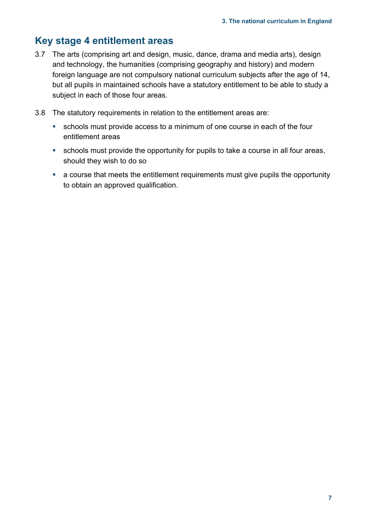### **Key stage 4 entitlement areas**

- 3.7 The arts (comprising art and design, music, dance, drama and media arts), design and technology, the humanities (comprising geography and history) and modern foreign language are not compulsory national curriculum subjects after the age of 14, but all pupils in maintained schools have a statutory entitlement to be able to study a subject in each of those four areas.
- 3.8 The statutory requirements in relation to the entitlement areas are:
	- schools must provide access to a minimum of one course in each of the four entitlement areas
	- schools must provide the opportunity for pupils to take a course in all four areas, should they wish to do so
	- a course that meets the entitlement requirements must give pupils the opportunity to obtain an approved qualification.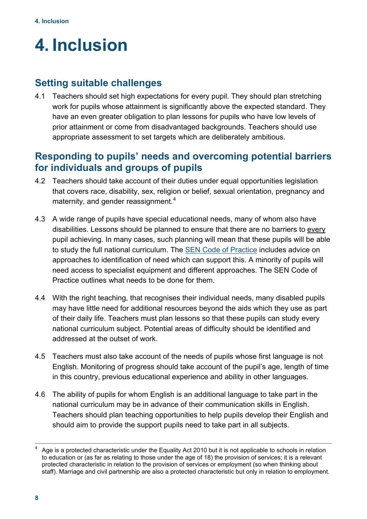# <span id="page-7-0"></span>**4. Inclusion**

### **Setting suitable challenges**

4.1 Teachers should set high expectations for every pupil. They should plan stretching work for pupils whose attainment is significantly above the expected standard. They have an even greater obligation to plan lessons for pupils who have low levels of prior attainment or come from disadvantaged backgrounds. Teachers should use appropriate assessment to set targets which are deliberately ambitious.

### **Responding to pupils' needs and overcoming potential barriers for individuals and groups of pupils**

- 4.2 Teachers should take account of their duties under equal opportunities legislation that covers race, disability, sex, religion or belief, sexual orientation, pregnancy and maternity, and gender reassignment.<sup>[4](#page-7-1)</sup>
- 4.3 A wide range of pupils have special educational needs, many of whom also have disabilities. Lessons should be planned to ensure that there are no barriers to every pupil achieving. In many cases, such planning will mean that these pupils will be able to study the full national curriculum. The [SEN Code of Practice](http://www.education.gov.uk/aboutdfe/statutory/g00213170/special-educational-needs-code-of-practice) includes advice on approaches to identification of need which can support this. A minority of pupils will need access to specialist equipment and different approaches. The SEN Code of Practice outlines what needs to be done for them.
- 4.4 With the right teaching, that recognises their individual needs, many disabled pupils may have little need for additional resources beyond the aids which they use as part of their daily life. Teachers must plan lessons so that these pupils can study every national curriculum subject. Potential areas of difficulty should be identified and addressed at the outset of work.
- 4.5 Teachers must also take account of the needs of pupils whose first language is not English. Monitoring of progress should take account of the pupil's age, length of time in this country, previous educational experience and ability in other languages.
- 4.6 The ability of pupils for whom English is an additional language to take part in the national curriculum may be in advance of their communication skills in English. Teachers should plan teaching opportunities to help pupils develop their English and should aim to provide the support pupils need to take part in all subjects.

<span id="page-7-1"></span> $\frac{1}{4}$  Age is a protected characteristic under the Equality Act 2010 but it is not applicable to schools in relation to education or (as far as relating to those under the age of 18) the provision of services; it is a relevant protected characteristic in relation to the provision of services or employment (so when thinking about staff). Marriage and civil partnership are also a protected characteristic but only in relation to employment.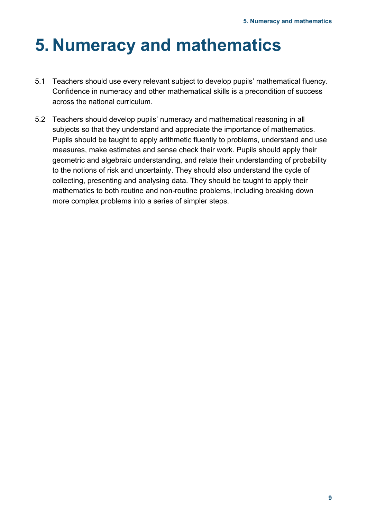# <span id="page-8-0"></span>**5. Numeracy and mathematics**

- 5.1 Teachers should use every relevant subject to develop pupils' mathematical fluency. Confidence in numeracy and other mathematical skills is a precondition of success across the national curriculum.
- 5.2 Teachers should develop pupils' numeracy and mathematical reasoning in all subjects so that they understand and appreciate the importance of mathematics. Pupils should be taught to apply arithmetic fluently to problems, understand and use measures, make estimates and sense check their work. Pupils should apply their geometric and algebraic understanding, and relate their understanding of probability to the notions of risk and uncertainty. They should also understand the cycle of collecting, presenting and analysing data. They should be taught to apply their mathematics to both routine and non-routine problems, including breaking down more complex problems into a series of simpler steps.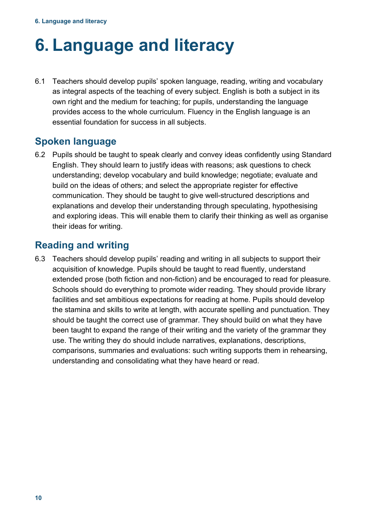# <span id="page-9-0"></span>**6. Language and literacy**

6.1 Teachers should develop pupils' spoken language, reading, writing and vocabulary as integral aspects of the teaching of every subject. English is both a subject in its own right and the medium for teaching; for pupils, understanding the language provides access to the whole curriculum. Fluency in the English language is an essential foundation for success in all subjects.

### **Spoken language**

6.2 Pupils should be taught to speak clearly and convey ideas confidently using Standard English. They should learn to justify ideas with reasons; ask questions to check understanding; develop vocabulary and build knowledge; negotiate; evaluate and build on the ideas of others; and select the appropriate register for effective communication. They should be taught to give well-structured descriptions and explanations and develop their understanding through speculating, hypothesising and exploring ideas. This will enable them to clarify their thinking as well as organise their ideas for writing.

#### **Reading and writing**

6.3 Teachers should develop pupils' reading and writing in all subjects to support their acquisition of knowledge. Pupils should be taught to read fluently, understand extended prose (both fiction and non-fiction) and be encouraged to read for pleasure. Schools should do everything to promote wider reading. They should provide library facilities and set ambitious expectations for reading at home. Pupils should develop the stamina and skills to write at length, with accurate spelling and punctuation. They should be taught the correct use of grammar. They should build on what they have been taught to expand the range of their writing and the variety of the grammar they use. The writing they do should include narratives, explanations, descriptions, comparisons, summaries and evaluations: such writing supports them in rehearsing, understanding and consolidating what they have heard or read.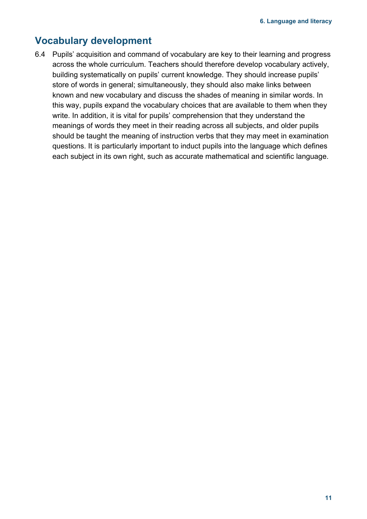#### **Vocabulary development**

6.4 Pupils' acquisition and command of vocabulary are key to their learning and progress across the whole curriculum. Teachers should therefore develop vocabulary actively, building systematically on pupils' current knowledge. They should increase pupils' store of words in general; simultaneously, they should also make links between known and new vocabulary and discuss the shades of meaning in similar words. In this way, pupils expand the vocabulary choices that are available to them when they write. In addition, it is vital for pupils' comprehension that they understand the meanings of words they meet in their reading across all subjects, and older pupils should be taught the meaning of instruction verbs that they may meet in examination questions. It is particularly important to induct pupils into the language which defines each subject in its own right, such as accurate mathematical and scientific language.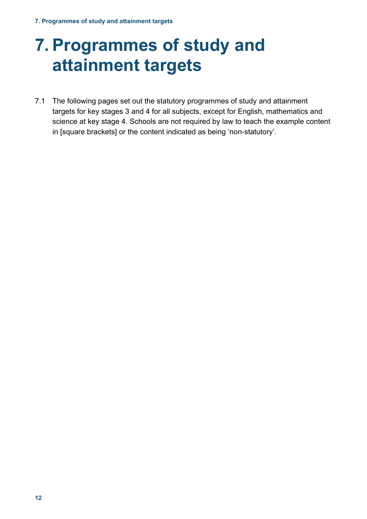# <span id="page-11-0"></span>**7. Programmes of study and attainment targets**

7.1 The following pages set out the statutory programmes of study and attainment targets for key stages 3 and 4 for all subjects, except for English, mathematics and science at key stage 4. Schools are not required by law to teach the example content in [square brackets] or the content indicated as being 'non-statutory'.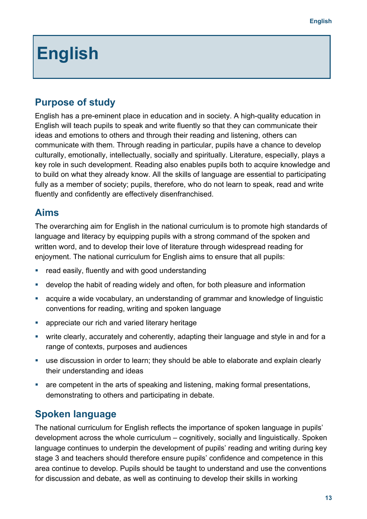### <span id="page-12-0"></span>**Purpose of study**

English has a pre-eminent place in education and in society. A high-quality education in English will teach pupils to speak and write fluently so that they can communicate their ideas and emotions to others and through their reading and listening, others can communicate with them. Through reading in particular, pupils have a chance to develop culturally, emotionally, intellectually, socially and spiritually. Literature, especially, plays a key role in such development. Reading also enables pupils both to acquire knowledge and to build on what they already know. All the skills of language are essential to participating fully as a member of society; pupils, therefore, who do not learn to speak, read and write fluently and confidently are effectively disenfranchised.

### **Aims**

The overarching aim for English in the national curriculum is to promote high standards of language and literacy by equipping pupils with a strong command of the spoken and written word, and to develop their love of literature through widespread reading for enjoyment. The national curriculum for English aims to ensure that all pupils:

- **•** read easily, fluently and with good understanding
- develop the habit of reading widely and often, for both pleasure and information
- acquire a wide vocabulary, an understanding of grammar and knowledge of linguistic conventions for reading, writing and spoken language
- **EXECUTE:** appreciate our rich and varied literary heritage
- write clearly, accurately and coherently, adapting their language and style in and for a range of contexts, purposes and audiences
- use discussion in order to learn; they should be able to elaborate and explain clearly their understanding and ideas
- are competent in the arts of speaking and listening, making formal presentations, demonstrating to others and participating in debate.

### **Spoken language**

The national curriculum for English reflects the importance of spoken language in pupils' development across the whole curriculum – cognitively, socially and linguistically. Spoken language continues to underpin the development of pupils' reading and writing during key stage 3 and teachers should therefore ensure pupils' confidence and competence in this area continue to develop. Pupils should be taught to understand and use the conventions for discussion and debate, as well as continuing to develop their skills in working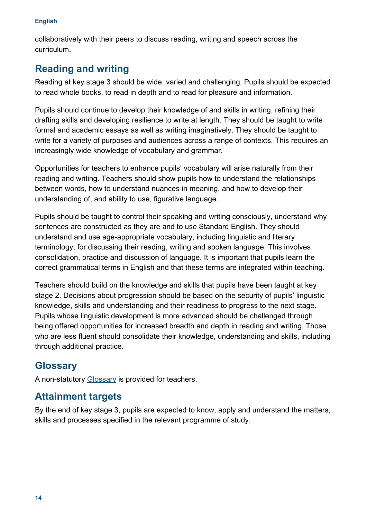collaboratively with their peers to discuss reading, writing and speech across the curriculum.

### **Reading and writing**

Reading at key stage 3 should be wide, varied and challenging. Pupils should be expected to read whole books, to read in depth and to read for pleasure and information.

Pupils should continue to develop their knowledge of and skills in writing, refining their drafting skills and developing resilience to write at length. They should be taught to write formal and academic essays as well as writing imaginatively. They should be taught to write for a variety of purposes and audiences across a range of contexts. This requires an increasingly wide knowledge of vocabulary and grammar.

Opportunities for teachers to enhance pupils' vocabulary will arise naturally from their reading and writing. Teachers should show pupils how to understand the relationships between words, how to understand nuances in meaning, and how to develop their understanding of, and ability to use, figurative language.

Pupils should be taught to control their speaking and writing consciously, understand why sentences are constructed as they are and to use Standard English. They should understand and use age-appropriate vocabulary, including linguistic and literary terminology, for discussing their reading, writing and spoken language. This involves consolidation, practice and discussion of language. It is important that pupils learn the correct grammatical terms in English and that these terms are integrated within teaching.

Teachers should build on the knowledge and skills that pupils have been taught at key stage 2. Decisions about progression should be based on the security of pupils' linguistic knowledge, skills and understanding and their readiness to progress to the next stage. Pupils whose linguistic development is more advanced should be challenged through being offered opportunities for increased breadth and depth in reading and writing. Those who are less fluent should consolidate their knowledge, understanding and skills, including through additional practice.

### **Glossary**

A non-statutory [Glossary](#page-17-1) is provided for teachers.

### **Attainment targets**

By the end of key stage 3, pupils are expected to know, apply and understand the matters, skills and processes specified in the relevant programme of study.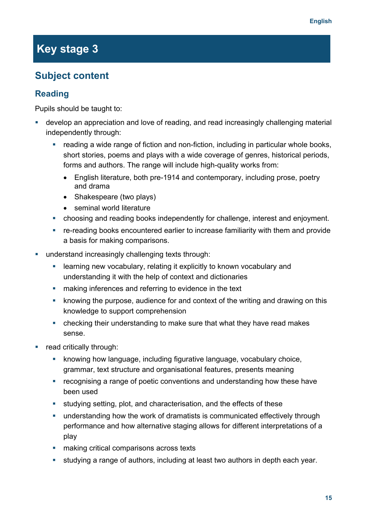# **Key stage 3**

## **Subject content**

#### **Reading**

Pupils should be taught to:

- develop an appreciation and love of reading, and read increasingly challenging material independently through:
	- reading a wide range of fiction and non-fiction, including in particular whole books, short stories, poems and plays with a wide coverage of genres, historical periods, forms and authors. The range will include high-quality works from:
		- English literature, both pre-1914 and contemporary, including prose, poetry and drama
		- Shakespeare (two plays)
		- seminal world literature
	- choosing and reading books independently for challenge, interest and enjoyment.
	- re-reading books encountered earlier to increase familiarity with them and provide a basis for making comparisons.
- understand increasingly challenging texts through:
	- learning new vocabulary, relating it explicitly to known vocabulary and understanding it with the help of context and dictionaries
	- **EXEC** making inferences and referring to evidence in the text
	- knowing the purpose, audience for and context of the writing and drawing on this knowledge to support comprehension
	- checking their understanding to make sure that what they have read makes sense.
- read critically through:
	- knowing how language, including figurative language, vocabulary choice, grammar, text structure and organisational features, presents meaning
	- recognising a range of poetic conventions and understanding how these have been used
	- studying setting, plot, and characterisation, and the effects of these
	- understanding how the work of dramatists is communicated effectively through performance and how alternative staging allows for different interpretations of a play
	- **naking critical comparisons across texts**
	- studying a range of authors, including at least two authors in depth each year.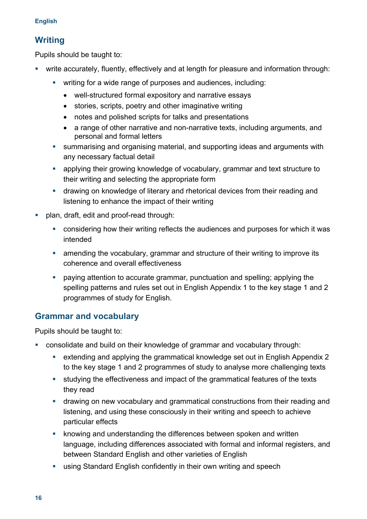#### **Writing**

Pupils should be taught to:

- write accurately, fluently, effectively and at length for pleasure and information through:
	- writing for a wide range of purposes and audiences, including:
		- well-structured formal expository and narrative essays
		- stories, scripts, poetry and other imaginative writing
		- notes and polished scripts for talks and presentations
		- a range of other narrative and non-narrative texts, including arguments, and personal and formal letters
	- summarising and organising material, and supporting ideas and arguments with any necessary factual detail
	- applying their growing knowledge of vocabulary, grammar and text structure to their writing and selecting the appropriate form
	- drawing on knowledge of literary and rhetorical devices from their reading and listening to enhance the impact of their writing
- **Problem**, draft, edit and proof-read through:
	- considering how their writing reflects the audiences and purposes for which it was intended
	- amending the vocabulary, grammar and structure of their writing to improve its coherence and overall effectiveness
	- paying attention to accurate grammar, punctuation and spelling; applying the spelling patterns and rules set out in English Appendix 1 to the key stage 1 and 2 programmes of study for English.

#### **Grammar and vocabulary**

Pupils should be taught to:

- consolidate and build on their knowledge of grammar and vocabulary through:
	- extending and applying the grammatical knowledge set out in English Appendix 2 to the key stage 1 and 2 programmes of study to analyse more challenging texts
	- studying the effectiveness and impact of the grammatical features of the texts they read
	- drawing on new vocabulary and grammatical constructions from their reading and listening, and using these consciously in their writing and speech to achieve particular effects
	- **K** knowing and understanding the differences between spoken and written language, including differences associated with formal and informal registers, and between Standard English and other varieties of English
	- using Standard English confidently in their own writing and speech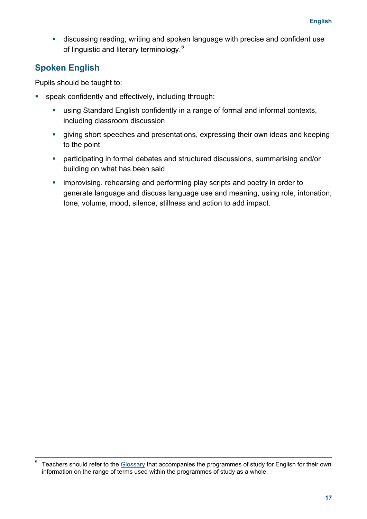discussing reading, writing and spoken language with precise and confident use of linguistic and literary terminology.<sup>[5](#page-16-0)</sup>

#### **Spoken English**

Pupils should be taught to:

- speak confidently and effectively, including through:
	- using Standard English confidently in a range of formal and informal contexts, including classroom discussion
	- giving short speeches and presentations, expressing their own ideas and keeping to the point
	- participating in formal debates and structured discussions, summarising and/or building on what has been said
	- **EXEDENT** improvising, rehearsing and performing play scripts and poetry in order to generate language and discuss language use and meaning, using role, intonation, tone, volume, mood, silence, stillness and action to add impact.

<span id="page-16-0"></span><sup>&</sup>lt;sup>5</sup> Teachers should refer to the [Glossary](#page-17-1) that accompanies the programmes of study for English for their own information on the range of terms used within the programmes of study as a whole.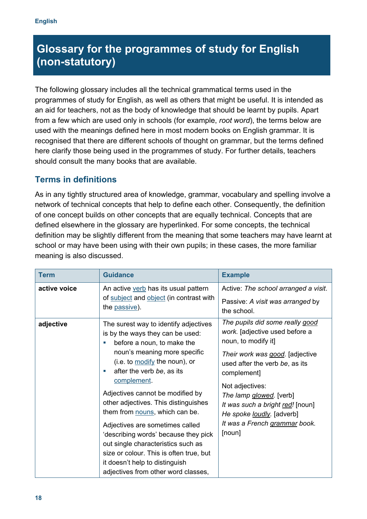# <span id="page-17-1"></span><span id="page-17-0"></span>**Glossary for the programmes of study for English (non-statutory)**

The following glossary includes all the technical grammatical terms used in the programmes of study for English, as well as others that might be useful. It is intended as an aid for teachers, not as the body of knowledge that should be learnt by pupils. Apart from a few which are used only in schools (for example, *root word*), the terms below are used with the meanings defined here in most modern books on English grammar. It is recognised that there are different schools of thought on grammar, but the terms defined here clarify those being used in the programmes of study. For further details, teachers should consult the many books that are available.

#### **Terms in definitions**

As in any tightly structured area of knowledge, grammar, vocabulary and spelling involve a network of technical concepts that help to define each other. Consequently, the definition of one concept builds on other concepts that are equally technical. Concepts that are defined elsewhere in the glossary are hyperlinked. For some concepts, the technical definition may be slightly different from the meaning that some teachers may have learnt at school or may have been using with their own pupils; in these cases, the more familiar meaning is also discussed.

<span id="page-17-2"></span>

| <b>Term</b>  | <b>Guidance</b>                                                                                                                                                                                                                                                                                                                                                                                                                                                                                                                                                                     | <b>Example</b>                                                                                                                                                                                                                                                                                                                                 |
|--------------|-------------------------------------------------------------------------------------------------------------------------------------------------------------------------------------------------------------------------------------------------------------------------------------------------------------------------------------------------------------------------------------------------------------------------------------------------------------------------------------------------------------------------------------------------------------------------------------|------------------------------------------------------------------------------------------------------------------------------------------------------------------------------------------------------------------------------------------------------------------------------------------------------------------------------------------------|
| active voice | An active verb has its usual pattern<br>of subject and object (in contrast with<br>the passive).                                                                                                                                                                                                                                                                                                                                                                                                                                                                                    | Active: The school arranged a visit.<br>Passive: A visit was arranged by<br>the school.                                                                                                                                                                                                                                                        |
| adjective    | The surest way to identify adjectives<br>is by the ways they can be used:<br>before a noun, to make the<br>L.<br>noun's meaning more specific<br>(i.e. to modify the noun), or<br>after the verb be, as its<br>L.<br>complement.<br>Adjectives cannot be modified by<br>other adjectives. This distinguishes<br>them from nouns, which can be.<br>Adjectives are sometimes called<br>'describing words' because they pick<br>out single characteristics such as<br>size or colour. This is often true, but<br>it doesn't help to distinguish<br>adjectives from other word classes, | The pupils did some really good<br>work. [adjective used before a<br>noun, to modify it]<br>Their work was good. [adjective<br>used after the verb be, as its<br>complement]<br>Not adjectives:<br>The lamp glowed. [verb]<br>It was such a bright red! [noun]<br>He spoke <u>loudly</u> . [adverb]<br>It was a French grammar book.<br>[noun] |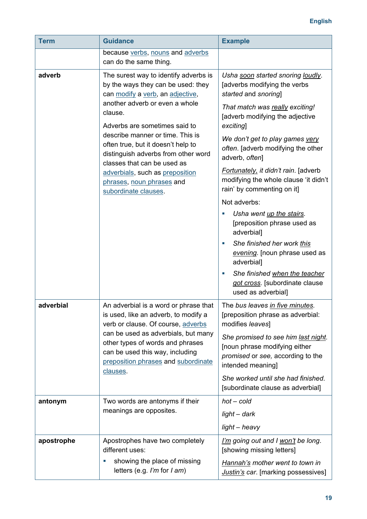<span id="page-18-3"></span><span id="page-18-2"></span><span id="page-18-1"></span><span id="page-18-0"></span>

| <b>Term</b> | <b>Guidance</b>                                                                                                                                                                                                                                                                                                                                                                                                                       | <b>Example</b>                                                                                                                                                                                                                                                                                                                                                                                                                                                                                                                                                                                                                                                               |
|-------------|---------------------------------------------------------------------------------------------------------------------------------------------------------------------------------------------------------------------------------------------------------------------------------------------------------------------------------------------------------------------------------------------------------------------------------------|------------------------------------------------------------------------------------------------------------------------------------------------------------------------------------------------------------------------------------------------------------------------------------------------------------------------------------------------------------------------------------------------------------------------------------------------------------------------------------------------------------------------------------------------------------------------------------------------------------------------------------------------------------------------------|
|             | because verbs, nouns and adverbs<br>can do the same thing.                                                                                                                                                                                                                                                                                                                                                                            |                                                                                                                                                                                                                                                                                                                                                                                                                                                                                                                                                                                                                                                                              |
| adverb      | The surest way to identify adverbs is<br>by the ways they can be used: they<br>can modify a verb, an adjective,<br>another adverb or even a whole<br>clause.<br>Adverbs are sometimes said to<br>describe manner or time. This is<br>often true, but it doesn't help to<br>distinguish adverbs from other word<br>classes that can be used as<br>adverbials, such as preposition<br>phrases, noun phrases and<br>subordinate clauses. | Usha soon started snoring loudly.<br>[adverbs modifying the verbs<br>started and snoring]<br>That match was really exciting!<br>[adverb modifying the adjective<br>exciting<br>We don't get to play games very<br>often. [adverb modifying the other<br>adverb, often]<br><b>Fortunately, it didn't rain.</b> [adverb<br>modifying the whole clause 'it didn't<br>rain' by commenting on it]<br>Not adverbs:<br>Usha went up the stairs.<br>×.<br>[preposition phrase used as<br>adverbial]<br>She finished her work this<br>T.<br>evening. [noun phrase used as<br>adverbial]<br>She finished when the teacher<br>Ш<br>got cross. [subordinate clause<br>used as adverbial] |
| adverbial   | An adverbial is a word or phrase that<br>is used, like an adverb, to modify a<br>verb or clause. Of course, adverbs<br>can be used as adverbials, but many<br>other types of words and phrases<br>can be used this way, including<br>preposition phrases and subordinate<br>clauses.                                                                                                                                                  | The bus leaves in five minutes.<br>[preposition phrase as adverbial:<br>modifies leaves]<br>She promised to see him last night.<br>[noun phrase modifying either<br>promised or see, according to the<br>intended meaning]<br>She worked until she had finished.<br>[subordinate clause as adverbial]                                                                                                                                                                                                                                                                                                                                                                        |
| antonym     | Two words are antonyms if their<br>meanings are opposites.                                                                                                                                                                                                                                                                                                                                                                            | $hot - cold$<br>light - dark<br>$light - heavy$                                                                                                                                                                                                                                                                                                                                                                                                                                                                                                                                                                                                                              |
| apostrophe  | Apostrophes have two completely<br>different uses:<br>showing the place of missing<br>×.<br>letters (e.g. $\lim$ for $\lim$ )                                                                                                                                                                                                                                                                                                         | I'm going out and I won't be long.<br>[showing missing letters]<br>Hannah's mother went to town in<br>Justin's car. [marking possessives]                                                                                                                                                                                                                                                                                                                                                                                                                                                                                                                                    |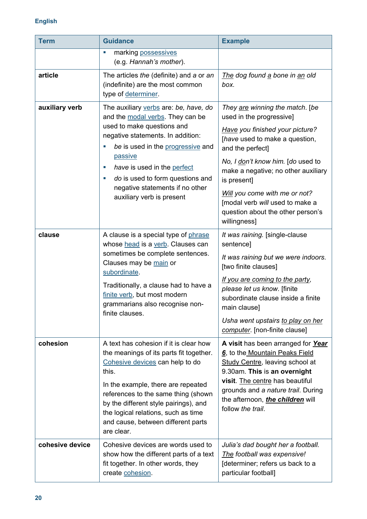<span id="page-19-4"></span><span id="page-19-3"></span><span id="page-19-2"></span><span id="page-19-1"></span><span id="page-19-0"></span>

| <b>Term</b>     | <b>Guidance</b>                                                                                                                                                                                                                                                                                                                                          | <b>Example</b>                                                                                                                                                                                                                                                                                                                                                           |
|-----------------|----------------------------------------------------------------------------------------------------------------------------------------------------------------------------------------------------------------------------------------------------------------------------------------------------------------------------------------------------------|--------------------------------------------------------------------------------------------------------------------------------------------------------------------------------------------------------------------------------------------------------------------------------------------------------------------------------------------------------------------------|
|                 | marking possessives<br>Ī.<br>(e.g. Hannah's mother).                                                                                                                                                                                                                                                                                                     |                                                                                                                                                                                                                                                                                                                                                                          |
| article         | The articles the (definite) and a or an<br>(indefinite) are the most common<br>type of determiner.                                                                                                                                                                                                                                                       | The dog found a bone in an old<br>box.                                                                                                                                                                                                                                                                                                                                   |
| auxiliary verb  | The auxiliary verbs are: be, have, do<br>and the modal verbs. They can be<br>used to make questions and<br>negative statements. In addition:<br>be is used in the progressive and<br>I.<br><b>passive</b><br>have is used in the perfect<br>×,<br>do is used to form questions and<br>×.<br>negative statements if no other<br>auxiliary verb is present | They are winning the match. [be<br>used in the progressive]<br>Have you finished your picture?<br>[have used to make a question,<br>and the perfect]<br>No, I don't know him. [do used to<br>make a negative; no other auxiliary<br>is present]<br>Will you come with me or not?<br>[modal verb will used to make a<br>question about the other person's<br>willingness] |
| clause          | A clause is a special type of phrase<br>whose head is a verb. Clauses can<br>sometimes be complete sentences.<br>Clauses may be main or<br>subordinate.<br>Traditionally, a clause had to have a<br>finite verb, but most modern<br>grammarians also recognise non-<br>finite clauses.                                                                   | It was raining. [single-clause<br>sentence]<br>It was raining but we were indoors.<br>[two finite clauses]<br>If you are coming to the party,<br>please let us know. [finite<br>subordinate clause inside a finite<br>main clause]<br>Usha went upstairs to play on her<br>computer. [non-finite clause]                                                                 |
| cohesion        | A text has cohesion if it is clear how<br>the meanings of its parts fit together.<br>Cohesive devices can help to do<br>this.<br>In the example, there are repeated<br>references to the same thing (shown<br>by the different style pairings), and<br>the logical relations, such as time<br>and cause, between different parts<br>are clear.           | A visit has been arranged for Year<br>6, to the Mountain Peaks Field<br>Study Centre, leaving school at<br>9.30am. This is an overnight<br>visit. The centre has beautiful<br>grounds and a nature trail. During<br>the afternoon, <i>the children</i> will<br>follow the trail.                                                                                         |
| cohesive device | Cohesive devices are words used to<br>show how the different parts of a text<br>fit together. In other words, they<br>create cohesion.                                                                                                                                                                                                                   | Julia's dad bought her a football.<br>The football was expensive!<br>Ideterminer; refers us back to a<br>particular football]                                                                                                                                                                                                                                            |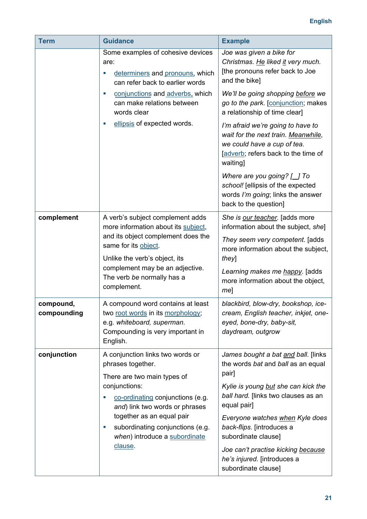<span id="page-20-2"></span><span id="page-20-1"></span><span id="page-20-0"></span>

| <b>Term</b>              | <b>Guidance</b>                                                                                                                                                                                                                       | <b>Example</b>                                                                                                                                             |
|--------------------------|---------------------------------------------------------------------------------------------------------------------------------------------------------------------------------------------------------------------------------------|------------------------------------------------------------------------------------------------------------------------------------------------------------|
|                          | Some examples of cohesive devices<br>are:<br>determiners and pronouns, which<br>×<br>can refer back to earlier words                                                                                                                  | Joe was given a bike for<br>Christmas. He liked it very much.<br>[the pronouns refer back to Joe<br>and the bike]                                          |
|                          | conjunctions and adverbs, which<br>×<br>can make relations between<br>words clear                                                                                                                                                     | We'll be going shopping before we<br>go to the park. [conjunction; makes<br>a relationship of time clear]                                                  |
|                          | ellipsis of expected words.<br>×.                                                                                                                                                                                                     | I'm afraid we're going to have to<br>wait for the next train. Meanwhile,<br>we could have a cup of tea.<br>[adverb; refers back to the time of<br>waiting] |
|                          |                                                                                                                                                                                                                                       | Where are you going? [_] To<br>school! [ellipsis of the expected<br>words I'm going; links the answer<br>back to the question]                             |
| complement               | A verb's subject complement adds<br>more information about its subject,                                                                                                                                                               | She is our teacher. [adds more<br>information about the subject, she]                                                                                      |
|                          | and its object complement does the<br>same for its object.<br>Unlike the verb's object, its<br>complement may be an adjective.<br>The verb be normally has a<br>complement.                                                           | They seem very competent. [adds<br>more information about the subject,<br>they]                                                                            |
|                          |                                                                                                                                                                                                                                       | Learning makes me happy. [adds<br>more information about the object,<br>me]                                                                                |
| compound,<br>compounding | A compound word contains at least<br>two root words in its morphology;<br>e.g. whiteboard, superman.<br>Compounding is very important in<br>English.                                                                                  | blackbird, blow-dry, bookshop, ice-<br>cream, English teacher, inkjet, one-<br>eyed, bone-dry, baby-sit,<br>daydream, outgrow                              |
| conjunction              | A conjunction links two words or<br>phrases together.                                                                                                                                                                                 | James bought a bat and ball. [links]<br>the words bat and ball as an equal<br>pair]                                                                        |
|                          | There are two main types of<br>conjunctions:<br>co-ordinating conjunctions (e.g.<br>and) link two words or phrases<br>together as an equal pair<br>subordinating conjunctions (e.g.<br>×,<br>when) introduce a subordinate<br>clause. | Kylie is young but she can kick the<br>ball hard. [links two clauses as an<br>equal pair]                                                                  |
|                          |                                                                                                                                                                                                                                       | Everyone watches when Kyle does<br>back-flips. [introduces a<br>subordinate clause]                                                                        |
|                          |                                                                                                                                                                                                                                       | Joe can't practise kicking because<br>he's injured. [introduces a<br>subordinate clause]                                                                   |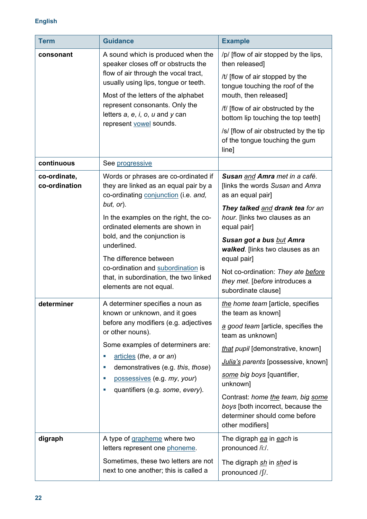<span id="page-21-3"></span><span id="page-21-2"></span><span id="page-21-1"></span><span id="page-21-0"></span>

| <b>Term</b>                   | <b>Guidance</b>                                                                                                                                                                                                                                                                                                                                                                                    | <b>Example</b>                                                                                                                                                                                                                                                                                                                                                          |
|-------------------------------|----------------------------------------------------------------------------------------------------------------------------------------------------------------------------------------------------------------------------------------------------------------------------------------------------------------------------------------------------------------------------------------------------|-------------------------------------------------------------------------------------------------------------------------------------------------------------------------------------------------------------------------------------------------------------------------------------------------------------------------------------------------------------------------|
| consonant                     | A sound which is produced when the<br>speaker closes off or obstructs the<br>flow of air through the vocal tract,<br>usually using lips, tongue or teeth.<br>Most of the letters of the alphabet<br>represent consonants. Only the<br>letters $a, e, i, o, u$ and $y$ can<br>represent vowel sounds.                                                                                               | /p/ [flow of air stopped by the lips,<br>then released]<br>/t/ [flow of air stopped by the<br>tongue touching the roof of the<br>mouth, then released]<br>/f/ [flow of air obstructed by the<br>bottom lip touching the top teeth]<br>/s/ [flow of air obstructed by the tip<br>of the tongue touching the gum<br>line]                                                 |
| continuous                    | See progressive                                                                                                                                                                                                                                                                                                                                                                                    |                                                                                                                                                                                                                                                                                                                                                                         |
| co-ordinate,<br>co-ordination | Words or phrases are co-ordinated if<br>they are linked as an equal pair by a<br>co-ordinating conjunction (i.e. and,<br>but, or).<br>In the examples on the right, the co-<br>ordinated elements are shown in<br>bold, and the conjunction is<br>underlined.<br>The difference between<br>co-ordination and subordination is<br>that, in subordination, the two linked<br>elements are not equal. | Susan and Amra met in a café.<br><b>Ilinks the words Susan and Amra</b><br>as an equal pair]<br>They talked and drank tea for an<br>hour. [links two clauses as an<br>equal pair]<br>Susan got a bus <b>but</b> Amra<br>walked. [links two clauses as an<br>equal pair]<br>Not co-ordination: They ate before<br>they met. [before introduces a<br>subordinate clause]  |
| determiner                    | A determiner specifies a noun as<br>known or unknown, and it goes<br>before any modifiers (e.g. adjectives<br>or other nouns).<br>Some examples of determiners are:<br>articles (the, a or an)<br>T,<br>demonstratives (e.g. this, those)<br>T,<br>possessives (e.g. my, your)<br>T,<br>quantifiers (e.g. some, every).                                                                            | the home team [article, specifies<br>the team as known]<br>a good team [article, specifies the<br>team as unknown]<br>that pupil [demonstrative, known]<br>Julia's parents [possessive, known]<br>some big boys [quantifier,<br>unknown]<br>Contrast: home the team, big some<br>boys [both incorrect, because the<br>determiner should come before<br>other modifiers] |
| digraph                       | A type of grapheme where two<br>letters represent one phoneme.<br>Sometimes, these two letters are not<br>next to one another; this is called a                                                                                                                                                                                                                                                    | The digraph ea in each is<br>pronounced /i:/.<br>The digraph sh in shed is<br>pronounced / f/.                                                                                                                                                                                                                                                                          |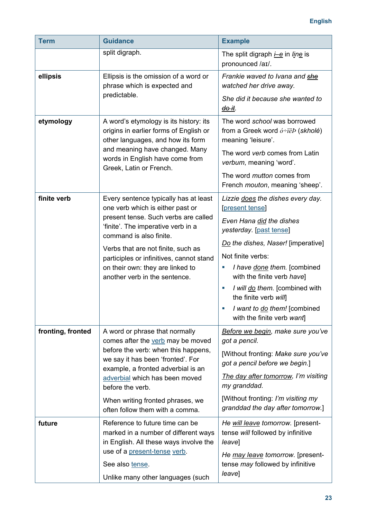<span id="page-22-2"></span><span id="page-22-1"></span><span id="page-22-0"></span>

| <b>Term</b>       | <b>Guidance</b>                                                                                                                                   | <b>Example</b>                                                                                                       |
|-------------------|---------------------------------------------------------------------------------------------------------------------------------------------------|----------------------------------------------------------------------------------------------------------------------|
|                   | split digraph.                                                                                                                                    | The split digraph <i>i</i> -e in <i>line</i> is<br>pronounced /aɪ/.                                                  |
| ellipsis          | Ellipsis is the omission of a word or<br>phrase which is expected and                                                                             | Frankie waved to Ivana and she<br>watched her drive away.                                                            |
|                   | predictable.                                                                                                                                      | She did it because she wanted to<br><u>do it</u> .                                                                   |
| etymology         | A word's etymology is its history: its<br>origins in earlier forms of English or<br>other languages, and how its form                             | The word school was borrowed<br>from a Greek word $\phi$ -ië $P$ (skholé)<br>meaning 'leisure'.                      |
|                   | and meaning have changed. Many<br>words in English have come from<br>Greek, Latin or French.                                                      | The word verb comes from Latin<br>verbum, meaning 'word'.                                                            |
|                   |                                                                                                                                                   | The word <i>mutton</i> comes from<br>French <i>mouton</i> , meaning 'sheep'.                                         |
| finite verb       | Every sentence typically has at least<br>one verb which is either past or                                                                         | Lizzie does the dishes every day.<br>present tense                                                                   |
|                   | present tense. Such verbs are called<br>'finite'. The imperative verb in a<br>command is also finite.                                             | Even Hana did the dishes<br>yesterday. [past tense]                                                                  |
|                   | Verbs that are not finite, such as                                                                                                                | Do the dishes, Naser! [imperative]                                                                                   |
|                   | participles or infinitives, cannot stand<br>on their own: they are linked to<br>another verb in the sentence.                                     | Not finite verbs:                                                                                                    |
|                   |                                                                                                                                                   | I have done them. [combined<br>with the finite verb have]                                                            |
|                   |                                                                                                                                                   | I will do them. [combined with<br>Ш<br>the finite verb will]                                                         |
|                   |                                                                                                                                                   | I want to do them! [combined<br>with the finite verb want]                                                           |
| fronting, fronted | A word or phrase that normally<br>comes after the verb may be moved                                                                               | Before we begin, make sure you've<br>got a pencil.                                                                   |
|                   | before the verb: when this happens,<br>we say it has been 'fronted'. For                                                                          | [Without fronting: Make sure you've<br>got a pencil before we begin.]                                                |
|                   | example, a fronted adverbial is an<br>adverbial which has been moved<br>before the verb.                                                          | The day after tomorrow, I'm visiting<br>my granddad.                                                                 |
|                   | When writing fronted phrases, we<br>often follow them with a comma.                                                                               | [Without fronting: I'm visiting my<br>granddad the day after tomorrow.]                                              |
| future            | Reference to future time can be<br>marked in a number of different ways<br>in English. All these ways involve the<br>use of a present-tense verb. | He will leave tomorrow. [present-<br>tense will followed by infinitive<br>leave]<br>He may leave tomorrow. [present- |
|                   | See also tense.<br>Unlike many other languages (such                                                                                              | tense may followed by infinitive<br>leave]                                                                           |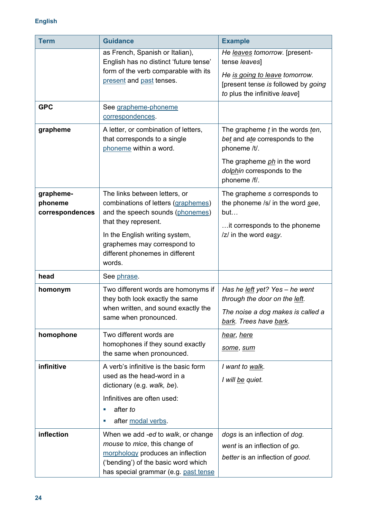<span id="page-23-3"></span><span id="page-23-2"></span><span id="page-23-1"></span><span id="page-23-0"></span>

| <b>Term</b>                             | <b>Guidance</b>                                                                                                                                                                         | <b>Example</b>                                                                                                                     |
|-----------------------------------------|-----------------------------------------------------------------------------------------------------------------------------------------------------------------------------------------|------------------------------------------------------------------------------------------------------------------------------------|
|                                         | as French, Spanish or Italian),<br>English has no distinct 'future tense'                                                                                                               | He leaves tomorrow. [present-<br>tense leaves]                                                                                     |
|                                         | form of the verb comparable with its<br>present and past tenses.                                                                                                                        | He is going to leave tomorrow.<br>[present tense is followed by going<br>to plus the infinitive leave]                             |
| <b>GPC</b>                              | See grapheme-phoneme<br>correspondences.                                                                                                                                                |                                                                                                                                    |
| grapheme                                | A letter, or combination of letters,<br>that corresponds to a single<br>phoneme within a word.                                                                                          | The grapheme $t$ in the words $ten$ ,<br>bet and ate corresponds to the<br>phoneme /t/.                                            |
|                                         |                                                                                                                                                                                         | The grapheme <i>ph</i> in the word<br>dolphin corresponds to the<br>phoneme /f/.                                                   |
| grapheme-<br>phoneme<br>correspondences | The links between letters, or<br>combinations of letters (graphemes)<br>and the speech sounds (phonemes)<br>that they represent.<br>In the English writing system,                      | The grapheme s corresponds to<br>the phoneme /s/ in the word see,<br>but<br>it corresponds to the phoneme<br>/z/ in the word easy. |
|                                         | graphemes may correspond to<br>different phonemes in different<br>words.                                                                                                                |                                                                                                                                    |
| head                                    | See phrase.                                                                                                                                                                             |                                                                                                                                    |
| homonym                                 | Two different words are homonyms if<br>they both look exactly the same<br>when written, and sound exactly the                                                                           | Has he left yet? Yes - he went<br>through the door on the left.                                                                    |
|                                         | same when pronounced.                                                                                                                                                                   | The noise a dog makes is called a<br>bark. Trees have bark.                                                                        |
| homophone                               | Two different words are<br>homophones if they sound exactly<br>the same when pronounced.                                                                                                | <u>hear, here</u><br>some, sum                                                                                                     |
| infinitive                              | A verb's infinitive is the basic form<br>used as the head-word in a<br>dictionary (e.g. walk, be).                                                                                      | I want to walk.<br>I will be quiet.                                                                                                |
|                                         | Infinitives are often used:<br>after to<br>×.<br>after modal verbs.<br>×                                                                                                                |                                                                                                                                    |
| inflection                              | When we add -ed to walk, or change<br>mouse to mice, this change of<br>morphology produces an inflection<br>('bending') of the basic word which<br>has special grammar (e.g. past tense | dogs is an inflection of dog.<br>went is an inflection of go.<br>better is an inflection of good.                                  |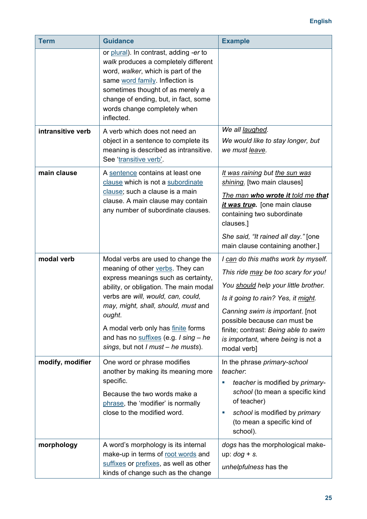<span id="page-24-4"></span><span id="page-24-3"></span><span id="page-24-2"></span><span id="page-24-1"></span><span id="page-24-0"></span>

| <b>Term</b>       | <b>Guidance</b>                                                                                                                                                                                                                                                                                                                                                     | <b>Example</b>                                                                                                                                                                                                                                                                                                            |
|-------------------|---------------------------------------------------------------------------------------------------------------------------------------------------------------------------------------------------------------------------------------------------------------------------------------------------------------------------------------------------------------------|---------------------------------------------------------------------------------------------------------------------------------------------------------------------------------------------------------------------------------------------------------------------------------------------------------------------------|
|                   | or plural). In contrast, adding -er to<br>walk produces a completely different<br>word, walker, which is part of the<br>same word family. Inflection is<br>sometimes thought of as merely a<br>change of ending, but, in fact, some<br>words change completely when<br>inflected.                                                                                   |                                                                                                                                                                                                                                                                                                                           |
| intransitive verb | A verb which does not need an<br>object in a sentence to complete its<br>meaning is described as intransitive.<br>See 'transitive verb'.                                                                                                                                                                                                                            | We all laughed.<br>We would like to stay longer, but<br>we must leave.                                                                                                                                                                                                                                                    |
| main clause       | A sentence contains at least one<br>clause which is not a subordinate<br>clause; such a clause is a main<br>clause. A main clause may contain<br>any number of subordinate clauses.                                                                                                                                                                                 | It was raining but the sun was<br>shining. [two main clauses]<br>The man who wrote it told me that<br><i>it was true.</i> [one main clause<br>containing two subordinate<br>clauses.]<br>She said, "It rained all day." [one<br>main clause containing another.]                                                          |
| modal verb        | Modal verbs are used to change the<br>meaning of other verbs. They can<br>express meanings such as certainty,<br>ability, or obligation. The main modal<br>verbs are will, would, can, could,<br>may, might, shall, should, must and<br>ought.<br>A modal verb only has finite forms<br>and has no suffixes (e.g. I sing - he<br>sings, but not I must - he musts). | I can do this maths work by myself.<br>This ride may be too scary for you!<br>You should help your little brother.<br>Is it going to rain? Yes, it might.<br>Canning swim is important. [not<br>possible because can must be<br>finite; contrast: Being able to swim<br>is important, where being is not a<br>modal verb] |
| modify, modifier  | One word or phrase modifies<br>another by making its meaning more<br>specific.<br>Because the two words make a<br>phrase, the 'modifier' is normally<br>close to the modified word.                                                                                                                                                                                 | In the phrase <i>primary-school</i><br>teacher.<br>teacher is modified by primary-<br>×.<br>school (to mean a specific kind<br>of teacher)<br>school is modified by primary<br>×.<br>(to mean a specific kind of<br>school).                                                                                              |
| morphology        | A word's morphology is its internal<br>make-up in terms of root words and<br>suffixes or prefixes, as well as other<br>kinds of change such as the change                                                                                                                                                                                                           | dogs has the morphological make-<br>up: $dog + s$ .<br>unhelpfulness has the                                                                                                                                                                                                                                              |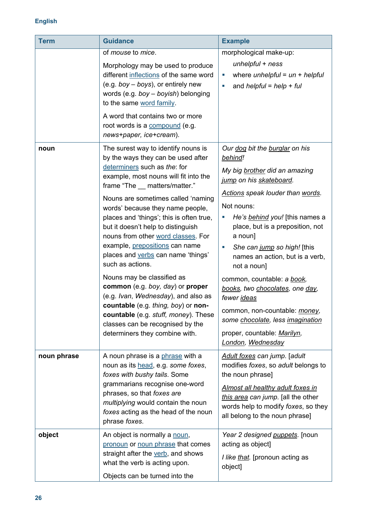<span id="page-25-2"></span><span id="page-25-1"></span><span id="page-25-0"></span>

| <b>Term</b> | <b>Guidance</b>                                                                                                                                                                                                                                                                                                                                                                                                                                                                                                                                                                                                                                                                                                                                  | <b>Example</b>                                                                                                                                                                                                                                                                                                                                                                                                                                                                                                                           |
|-------------|--------------------------------------------------------------------------------------------------------------------------------------------------------------------------------------------------------------------------------------------------------------------------------------------------------------------------------------------------------------------------------------------------------------------------------------------------------------------------------------------------------------------------------------------------------------------------------------------------------------------------------------------------------------------------------------------------------------------------------------------------|------------------------------------------------------------------------------------------------------------------------------------------------------------------------------------------------------------------------------------------------------------------------------------------------------------------------------------------------------------------------------------------------------------------------------------------------------------------------------------------------------------------------------------------|
|             | of mouse to mice.<br>Morphology may be used to produce<br>different inflections of the same word<br>(e.g. $boy - boys$ ), or entirely new<br>words (e.g. boy - boyish) belonging<br>to the same word family.<br>A word that contains two or more<br>root words is a compound (e.g.<br>news+paper, ice+cream).                                                                                                                                                                                                                                                                                                                                                                                                                                    | morphological make-up:<br>unhelpful + ness<br>where unhelpful = $un + helpful$<br>I.<br>and helpful = $help + ful$<br>T,                                                                                                                                                                                                                                                                                                                                                                                                                 |
| noun        | The surest way to identify nouns is<br>by the ways they can be used after<br>determiners such as the: for<br>example, most nouns will fit into the<br>frame "The __ matters/matter."<br>Nouns are sometimes called 'naming<br>words' because they name people,<br>places and 'things'; this is often true,<br>but it doesn't help to distinguish<br>nouns from other word classes. For<br>example, prepositions can name<br>places and verbs can name 'things'<br>such as actions.<br>Nouns may be classified as<br>common (e.g. boy, day) or proper<br>(e.g. Ivan, Wednesday), and also as<br>countable (e.g. thing, boy) or non-<br>countable (e.g. stuff, money). These<br>classes can be recognised by the<br>determiners they combine with. | Our dog bit the burglar on his<br>behind!<br>My big brother did an amazing<br>jump on his skateboard.<br>Actions speak louder than words.<br>Not nouns:<br>He's behind you! [this names a<br>place, but is a preposition, not<br>a noun]<br>She can jump so high! [this<br>I.<br>names an action, but is a verb,<br>not a noun]<br>common, countable: a book,<br>books, two chocolates, one day,<br>fewer ideas<br>common, non-countable: money,<br>some chocolate, less imagination<br>proper, countable: Marilyn,<br>London, Wednesday |
| noun phrase | A noun phrase is a phrase with a<br>noun as its head, e.g. some foxes,<br>foxes with bushy tails. Some<br>grammarians recognise one-word<br>phrases, so that foxes are<br>multiplying would contain the noun<br>foxes acting as the head of the noun<br>phrase foxes.                                                                                                                                                                                                                                                                                                                                                                                                                                                                            | Adult foxes can jump. [adult<br>modifies foxes, so adult belongs to<br>the noun phrase]<br>Almost all healthy adult foxes in<br>this area can jump. [all the other<br>words help to modify foxes, so they<br>all belong to the noun phrase]                                                                                                                                                                                                                                                                                              |
| object      | An object is normally a noun,<br>pronoun or noun phrase that comes<br>straight after the verb, and shows<br>what the verb is acting upon.<br>Objects can be turned into the                                                                                                                                                                                                                                                                                                                                                                                                                                                                                                                                                                      | Year 2 designed puppets. [noun<br>acting as object]<br>I like that. [pronoun acting as<br>object]                                                                                                                                                                                                                                                                                                                                                                                                                                        |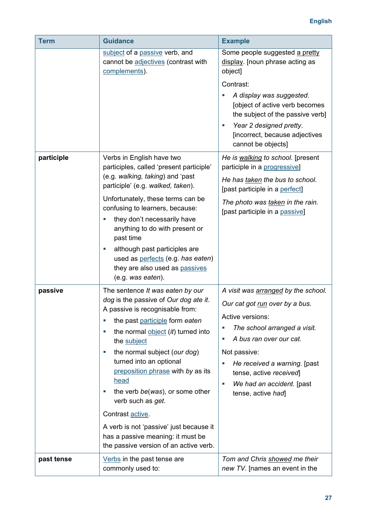<span id="page-26-2"></span><span id="page-26-1"></span><span id="page-26-0"></span>

| <b>Term</b> | <b>Guidance</b>                                                                                                                                                                                                                                                                                                                                                                                                                                                                                                                          | <b>Example</b>                                                                                                                                                                                                                                                                                       |
|-------------|------------------------------------------------------------------------------------------------------------------------------------------------------------------------------------------------------------------------------------------------------------------------------------------------------------------------------------------------------------------------------------------------------------------------------------------------------------------------------------------------------------------------------------------|------------------------------------------------------------------------------------------------------------------------------------------------------------------------------------------------------------------------------------------------------------------------------------------------------|
|             | subject of a passive verb, and<br>cannot be adjectives (contrast with<br>complements).                                                                                                                                                                                                                                                                                                                                                                                                                                                   | Some people suggested a pretty<br>display. [noun phrase acting as<br>object]                                                                                                                                                                                                                         |
|             |                                                                                                                                                                                                                                                                                                                                                                                                                                                                                                                                          | Contrast:<br>A display was suggested.<br>[object of active verb becomes<br>the subject of the passive verb]<br>Year 2 designed pretty.<br>×.<br>[incorrect, because adjectives<br>cannot be objects]                                                                                                 |
| participle  | Verbs in English have two<br>participles, called 'present participle'<br>(e.g. walking, taking) and 'past<br>participle' (e.g. walked, taken).<br>Unfortunately, these terms can be<br>confusing to learners, because:<br>they don't necessarily have<br>×<br>anything to do with present or<br>past time<br>although past participles are<br>×.<br>used as perfects (e.g. has eaten)<br>they are also used as passives<br>(e.g. was eaten).                                                                                             | He is walking to school. [present<br>participle in a progressive]<br>He has taken the bus to school.<br>[past participle in a perfect]<br>The photo was taken in the rain.<br>[past participle in a passive]                                                                                         |
| passive     | The sentence It was eaten by our<br>dog is the passive of Our dog ate it.<br>A passive is recognisable from:<br>the past participle form eaten<br>×.<br>the normal object (it) turned into<br>×,<br>the subject<br>the normal subject (our dog)<br>×<br>turned into an optional<br>preposition phrase with by as its<br>head<br>the verb be(was), or some other<br>×.<br>verb such as get.<br>Contrast active.<br>A verb is not 'passive' just because it<br>has a passive meaning: it must be<br>the passive version of an active verb. | A visit was arranged by the school.<br>Our cat got run over by a bus.<br>Active versions:<br>The school arranged a visit.<br>ш<br>A bus ran over our cat.<br>×.<br>Not passive:<br>He received a warning. [past]<br>tense, active received]<br>We had an accident. [past<br>×.<br>tense, active had] |
| past tense  | Verbs in the past tense are<br>commonly used to:                                                                                                                                                                                                                                                                                                                                                                                                                                                                                         | Tom and Chris showed me their<br>new TV. [names an event in the                                                                                                                                                                                                                                      |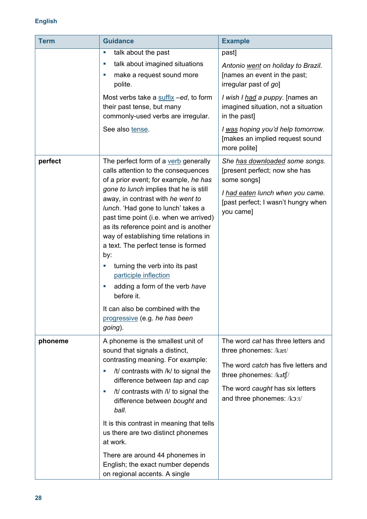<span id="page-27-1"></span><span id="page-27-0"></span>

| <b>Term</b> | <b>Guidance</b>                                                                                                                                                                                                                                                                                                                                                                                                                                                                                                                                                                                                         | <b>Example</b>                                                                                                                                                                                                                                                                         |
|-------------|-------------------------------------------------------------------------------------------------------------------------------------------------------------------------------------------------------------------------------------------------------------------------------------------------------------------------------------------------------------------------------------------------------------------------------------------------------------------------------------------------------------------------------------------------------------------------------------------------------------------------|----------------------------------------------------------------------------------------------------------------------------------------------------------------------------------------------------------------------------------------------------------------------------------------|
|             | talk about the past<br>I.<br>talk about imagined situations<br>×.<br>make a request sound more<br>×<br>polite.<br>Most verbs take a suffix -ed, to form<br>their past tense, but many<br>commonly-used verbs are irregular.<br>See also tense.                                                                                                                                                                                                                                                                                                                                                                          | past]<br>Antonio went on holiday to Brazil.<br>[names an event in the past;<br>irregular past of go]<br>I wish I had a puppy. [names an<br>imagined situation, not a situation<br>in the past]<br>I was hoping you'd help tomorrow.<br>[makes an implied request sound<br>more polite] |
| perfect     | The perfect form of a verb generally<br>calls attention to the consequences<br>of a prior event; for example, he has<br>gone to lunch implies that he is still<br>away, in contrast with he went to<br>lunch. 'Had gone to lunch' takes a<br>past time point (i.e. when we arrived)<br>as its reference point and is another<br>way of establishing time relations in<br>a text. The perfect tense is formed<br>by:<br>turning the verb into its past<br>participle inflection<br>adding a form of the verb have<br>T,<br>before it.<br>It can also be combined with the<br>progressive (e.g. he has been<br>$going)$ . | She has downloaded some songs.<br>[present perfect; now she has<br>some songs]<br>I had eaten lunch when you came.<br>[past perfect; I wasn't hungry when<br>you came]                                                                                                                 |
| phoneme     | A phoneme is the smallest unit of<br>sound that signals a distinct,<br>contrasting meaning. For example:<br>/t/ contrasts with /k/ to signal the<br>T,<br>difference between tap and cap<br>/t/ contrasts with /l/ to signal the<br>×.<br>difference between bought and<br>ball.<br>It is this contrast in meaning that tells<br>us there are two distinct phonemes<br>at work.<br>There are around 44 phonemes in<br>English; the exact number depends<br>on regional accents. A single                                                                                                                                | The word cat has three letters and<br>three phonemes: /kæt/<br>The word catch has five letters and<br>three phonemes: /katf/<br>The word caught has six letters<br>and three phonemes: /kɔːt/                                                                                          |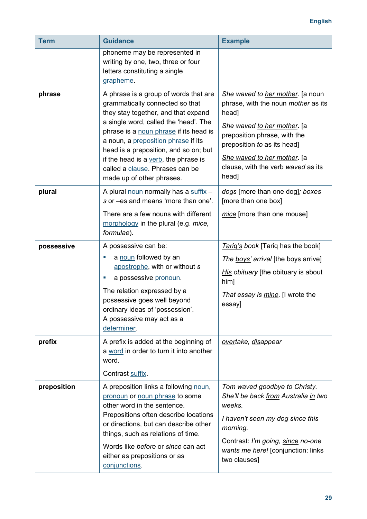<span id="page-28-4"></span><span id="page-28-3"></span><span id="page-28-2"></span><span id="page-28-1"></span><span id="page-28-0"></span>

| <b>Term</b> | <b>Guidance</b>                                                                                                                                                                                                                                                                                                                                                                            | <b>Example</b>                                                                                                                                                                                                                                                      |
|-------------|--------------------------------------------------------------------------------------------------------------------------------------------------------------------------------------------------------------------------------------------------------------------------------------------------------------------------------------------------------------------------------------------|---------------------------------------------------------------------------------------------------------------------------------------------------------------------------------------------------------------------------------------------------------------------|
|             | phoneme may be represented in<br>writing by one, two, three or four<br>letters constituting a single<br>grapheme.                                                                                                                                                                                                                                                                          |                                                                                                                                                                                                                                                                     |
| phrase      | A phrase is a group of words that are<br>grammatically connected so that<br>they stay together, and that expand<br>a single word, called the 'head'. The<br>phrase is a noun phrase if its head is<br>a noun, a preposition phrase if its<br>head is a preposition, and so on; but<br>if the head is a verb, the phrase is<br>called a clause. Phrases can be<br>made up of other phrases. | She waved to her mother. [a noun<br>phrase, with the noun <i>mother</i> as its<br>head]<br>She waved to her mother. [a<br>preposition phrase, with the<br>preposition to as its head]<br>She waved to her mother. [a<br>clause, with the verb waved as its<br>head] |
| plural      | A plural noun normally has a suffix -<br>s or -es and means 'more than one'.<br>There are a few nouns with different<br>$morphology$ in the plural (e.g. <i>mice</i> ,<br>formulae).                                                                                                                                                                                                       | dogs [more than one dog]; boxes<br>[more than one box]<br>mice [more than one mouse]                                                                                                                                                                                |
| possessive  | A possessive can be:<br>a noun followed by an<br>E<br>apostrophe, with or without s<br>a possessive pronoun.<br>The relation expressed by a<br>possessive goes well beyond<br>ordinary ideas of 'possession'.<br>A possessive may act as a<br>determiner.                                                                                                                                  | Tarig's book [Tariq has the book]<br>The boys' arrival [the boys arrive]<br>His obituary [the obituary is about<br>him]<br>That essay is mine. [I wrote the<br>essay]                                                                                               |
| prefix      | A prefix is added at the beginning of<br>a word in order to turn it into another<br>word.<br>Contrast suffix.                                                                                                                                                                                                                                                                              | overtake, disappear                                                                                                                                                                                                                                                 |
| preposition | A preposition links a following noun,<br>pronoun or noun phrase to some<br>other word in the sentence.<br>Prepositions often describe locations<br>or directions, but can describe other<br>things, such as relations of time.<br>Words like before or since can act<br>either as prepositions or as<br>conjunctions.                                                                      | Tom waved goodbye to Christy.<br>She'll be back from Australia in two<br>weeks.<br>I haven't seen my dog since this<br>morning.<br>Contrast: I'm going, since no-one<br>wants me here! [conjunction: links]<br>two clauses]                                         |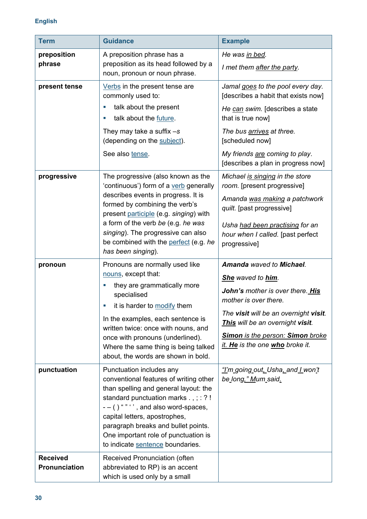<span id="page-29-3"></span><span id="page-29-2"></span><span id="page-29-1"></span><span id="page-29-0"></span>

| <b>Term</b>                             | <b>Guidance</b>                                                                                                                                                                                                                                                                                                                                | <b>Example</b>                                                                                                                                                                                                                                                               |
|-----------------------------------------|------------------------------------------------------------------------------------------------------------------------------------------------------------------------------------------------------------------------------------------------------------------------------------------------------------------------------------------------|------------------------------------------------------------------------------------------------------------------------------------------------------------------------------------------------------------------------------------------------------------------------------|
| preposition<br>phrase                   | A preposition phrase has a<br>preposition as its head followed by a<br>noun, pronoun or noun phrase.                                                                                                                                                                                                                                           | He was in bed.<br>I met them after the party.                                                                                                                                                                                                                                |
| present tense                           | Verbs in the present tense are<br>commonly used to:<br>talk about the present<br>talk about the future.<br>They may take a suffix $-s$<br>(depending on the subject).<br>See also tense.                                                                                                                                                       | Jamal goes to the pool every day.<br>[describes a habit that exists now]<br>He can swim. [describes a state<br>that is true now]<br>The bus <b>arrives</b> at three.<br>[scheduled now]<br>My friends are coming to play.<br>[describes a plan in progress now]              |
| progressive                             | The progressive (also known as the<br>'continuous') form of a verb generally<br>describes events in progress. It is<br>formed by combining the verb's<br>present participle (e.g. singing) with<br>a form of the verb be (e.g. he was<br>singing). The progressive can also<br>be combined with the perfect (e.g. he<br>has been singing).     | Michael is singing in the store<br>room. [present progressive]<br>Amanda was making a patchwork<br>quilt. [past progressive]<br>Usha had been practising for an<br>hour when I called. [past perfect<br>progressive]                                                         |
| pronoun                                 | Pronouns are normally used like<br>nouns, except that:<br>they are grammatically more<br>specialised<br>it is harder to $\text{modify}$ them<br>In the examples, each sentence is<br>written twice: once with nouns, and<br>once with pronouns (underlined).<br>Where the same thing is being talked<br>about, the words are shown in bold.    | <b>Amanda</b> waved to Michael.<br>She waved to him.<br>John's mother is over there. His<br>mother is over there.<br>The visit will be an overnight visit.<br>This will be an overnight visit.<br><b>Simon is the person: Simon broke</b><br>it. He is the one who broke it. |
| punctuation                             | Punctuation includes any<br>conventional features of writing other<br>than spelling and general layout: the<br>standard punctuation marks . , ; : ? !<br>$-$ () """, and also word-spaces,<br>capital letters, apostrophes,<br>paragraph breaks and bullet points.<br>One important role of punctuation is<br>to indicate sentence boundaries. | "I'm going out, Usha, and I won't<br>be_long," Mum_said.                                                                                                                                                                                                                     |
| <b>Received</b><br><b>Pronunciation</b> | Received Pronunciation (often<br>abbreviated to RP) is an accent<br>which is used only by a small                                                                                                                                                                                                                                              |                                                                                                                                                                                                                                                                              |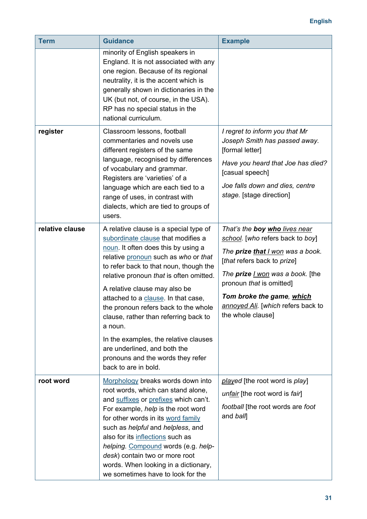<span id="page-30-2"></span><span id="page-30-1"></span><span id="page-30-0"></span>

| <b>Term</b>     | <b>Guidance</b>                                                                                                                                                                                                                                                                                                                                                                                                                                                                                                                                            | <b>Example</b>                                                                                                                                                                                                                                                                                      |
|-----------------|------------------------------------------------------------------------------------------------------------------------------------------------------------------------------------------------------------------------------------------------------------------------------------------------------------------------------------------------------------------------------------------------------------------------------------------------------------------------------------------------------------------------------------------------------------|-----------------------------------------------------------------------------------------------------------------------------------------------------------------------------------------------------------------------------------------------------------------------------------------------------|
|                 | minority of English speakers in<br>England. It is not associated with any<br>one region. Because of its regional<br>neutrality, it is the accent which is<br>generally shown in dictionaries in the<br>UK (but not, of course, in the USA).<br>RP has no special status in the<br>national curriculum.                                                                                                                                                                                                                                                     |                                                                                                                                                                                                                                                                                                     |
| register        | Classroom lessons, football<br>commentaries and novels use<br>different registers of the same<br>language, recognised by differences<br>of vocabulary and grammar.<br>Registers are 'varieties' of a<br>language which are each tied to a<br>range of uses, in contrast with<br>dialects, which are tied to groups of<br>users.                                                                                                                                                                                                                            | I regret to inform you that Mr<br>Joseph Smith has passed away.<br>[formal letter]<br>Have you heard that Joe has died?<br>[casual speech]<br>Joe falls down and dies, centre<br>stage. [stage direction]                                                                                           |
| relative clause | A relative clause is a special type of<br>subordinate clause that modifies a<br>noun. It often does this by using a<br>relative pronoun such as who or that<br>to refer back to that noun, though the<br>relative pronoun that is often omitted.<br>A relative clause may also be<br>attached to a clause. In that case,<br>the pronoun refers back to the whole<br>clause, rather than referring back to<br>a noun.<br>In the examples, the relative clauses<br>are underlined, and both the<br>pronouns and the words they refer<br>back to are in bold. | That's the boy who lives near<br>school. [who refers back to boy]<br>The prize that I won was a book.<br>[that refers back to prize]<br>The prize <i>I won was a book.</i> [the<br>pronoun that is omitted]<br>Tom broke the game, which<br>annoyed Ali. [which refers back to<br>the whole clause] |
| root word       | Morphology breaks words down into<br>root words, which can stand alone,<br>and suffixes or prefixes which can't.<br>For example, help is the root word<br>for other words in its word family<br>such as <i>helpful</i> and <i>helpless</i> , and<br>also for its inflections such as<br>helping. Compound words (e.g. help-<br>desk) contain two or more root<br>words. When looking in a dictionary,<br>we sometimes have to look for the                                                                                                                 | played [the root word is play]<br>unfair [the root word is fair]<br>football [the root words are foot<br>and ball                                                                                                                                                                                   |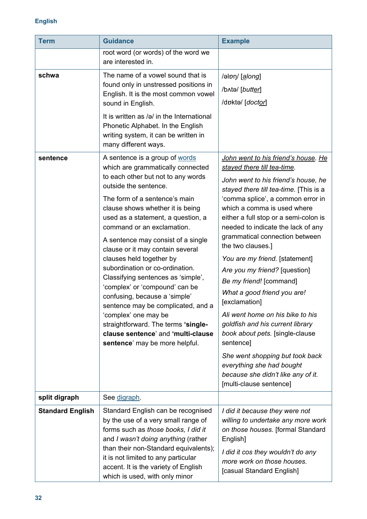<span id="page-31-0"></span>

| <b>Term</b>             | <b>Guidance</b>                                                                                                                                                                                                                                                                                                                                                                                                                                                                                                                                                                                                                                                                                            | <b>Example</b>                                                                                                                                                                                                                                                                                                                                                                                                                                                                                                                                                                                                                                                                                                                                                       |
|-------------------------|------------------------------------------------------------------------------------------------------------------------------------------------------------------------------------------------------------------------------------------------------------------------------------------------------------------------------------------------------------------------------------------------------------------------------------------------------------------------------------------------------------------------------------------------------------------------------------------------------------------------------------------------------------------------------------------------------------|----------------------------------------------------------------------------------------------------------------------------------------------------------------------------------------------------------------------------------------------------------------------------------------------------------------------------------------------------------------------------------------------------------------------------------------------------------------------------------------------------------------------------------------------------------------------------------------------------------------------------------------------------------------------------------------------------------------------------------------------------------------------|
|                         | root word (or words) of the word we<br>are interested in.                                                                                                                                                                                                                                                                                                                                                                                                                                                                                                                                                                                                                                                  |                                                                                                                                                                                                                                                                                                                                                                                                                                                                                                                                                                                                                                                                                                                                                                      |
| schwa                   | The name of a vowel sound that is<br>found only in unstressed positions in<br>English. It is the most common vowel<br>sound in English.<br>It is written as /ə/ in the International<br>Phonetic Alphabet. In the English<br>writing system, it can be written in<br>many different ways.                                                                                                                                                                                                                                                                                                                                                                                                                  | /əlpn/ [along]<br>/b^tə/ [butter]<br>/dpkta/ [doctor]                                                                                                                                                                                                                                                                                                                                                                                                                                                                                                                                                                                                                                                                                                                |
| sentence                | A sentence is a group of words<br>which are grammatically connected<br>to each other but not to any words<br>outside the sentence.<br>The form of a sentence's main<br>clause shows whether it is being<br>used as a statement, a question, a<br>command or an exclamation.<br>A sentence may consist of a single<br>clause or it may contain several<br>clauses held together by<br>subordination or co-ordination.<br>Classifying sentences as 'simple',<br>'complex' or 'compound' can be<br>confusing, because a 'simple'<br>sentence may be complicated, and a<br>'complex' one may be<br>straightforward. The terms 'single-<br>clause sentence' and 'multi-clause<br>sentence' may be more helpful. | John went to his friend's house. He<br>stayed there till tea-time.<br>John went to his friend's house, he<br>stayed there till tea-time. [This is a<br>'comma splice', a common error in<br>which a comma is used where<br>either a full stop or a semi-colon is<br>needed to indicate the lack of any<br>grammatical connection between<br>the two clauses.]<br>You are my friend. [statement]<br>Are you my friend? [question]<br>Be my friend! [command]<br>What a good friend you are!<br>[exclamation]<br>Ali went home on his bike to his<br>goldfish and his current library<br>book about pets. [single-clause<br>sentence]<br>She went shopping but took back<br>everything she had bought<br>because she didn't like any of it.<br>[multi-clause sentence] |
| split digraph           | See digraph.                                                                                                                                                                                                                                                                                                                                                                                                                                                                                                                                                                                                                                                                                               |                                                                                                                                                                                                                                                                                                                                                                                                                                                                                                                                                                                                                                                                                                                                                                      |
| <b>Standard English</b> | Standard English can be recognised<br>by the use of a very small range of<br>forms such as those books, I did it<br>and I wasn't doing anything (rather<br>than their non-Standard equivalents);<br>it is not limited to any particular<br>accent. It is the variety of English<br>which is used, with only minor                                                                                                                                                                                                                                                                                                                                                                                          | I did it because they were not<br>willing to undertake any more work<br>on those houses. [formal Standard<br>English]<br>I did it cos they wouldn't do any<br>more work on those houses.<br>[casual Standard English]                                                                                                                                                                                                                                                                                                                                                                                                                                                                                                                                                |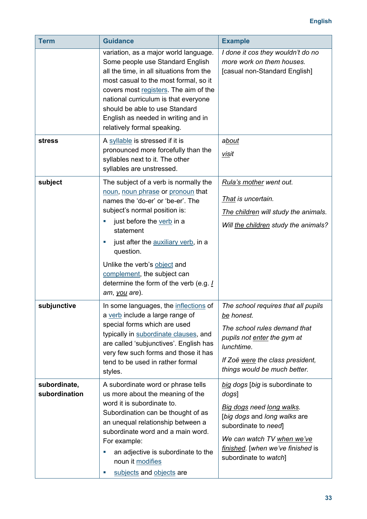<span id="page-32-2"></span><span id="page-32-1"></span><span id="page-32-0"></span>

| <b>Term</b>                   | <b>Guidance</b>                                                                                                                                                                                                                                                                                                                                                                                     | <b>Example</b>                                                                                                                                                                                                                   |
|-------------------------------|-----------------------------------------------------------------------------------------------------------------------------------------------------------------------------------------------------------------------------------------------------------------------------------------------------------------------------------------------------------------------------------------------------|----------------------------------------------------------------------------------------------------------------------------------------------------------------------------------------------------------------------------------|
|                               | variation, as a major world language.<br>Some people use Standard English<br>all the time, in all situations from the<br>most casual to the most formal, so it<br>covers most registers. The aim of the<br>national curriculum is that everyone<br>should be able to use Standard<br>English as needed in writing and in<br>relatively formal speaking.                                             | I done it cos they wouldn't do no<br>more work on them houses.<br>[casual non-Standard English]                                                                                                                                  |
| <b>stress</b>                 | A syllable is stressed if it is<br>pronounced more forcefully than the<br>syllables next to it. The other<br>syllables are unstressed.                                                                                                                                                                                                                                                              | about<br>visit                                                                                                                                                                                                                   |
| subject                       | The subject of a verb is normally the<br>noun, noun phrase or pronoun that<br>names the 'do-er' or 'be-er'. The<br>subject's normal position is:<br>just before the verb in a<br>×.<br>statement<br>just after the <b>auxiliary verb</b> , in a<br>×.<br>question.<br>Unlike the verb's object and<br>complement, the subject can<br>determine the form of the verb (e.g. <i>I</i><br>am, you are). | Rula's mother went out.<br>That is uncertain.<br>The children will study the animals.<br>Will the children study the animals?                                                                                                    |
| subjunctive                   | In some languages, the inflections of<br>a verb include a large range of<br>special forms which are used<br>typically in subordinate clauses, and<br>are called 'subjunctives'. English has<br>very few such forms and those it has<br>tend to be used in rather formal<br>styles.                                                                                                                  | The school requires that all pupils<br>be honest.<br>The school rules demand that<br>pupils not enter the gym at<br>lunchtime.<br>If Zoë were the class president,<br>things would be much better.                               |
| subordinate,<br>subordination | A subordinate word or phrase tells<br>us more about the meaning of the<br>word it is subordinate to.<br>Subordination can be thought of as<br>an unequal relationship between a<br>subordinate word and a main word.<br>For example:<br>an adjective is subordinate to the<br>×.<br>noun it modifies<br>subjects and objects are                                                                    | big dogs [big is subordinate to<br>dogs]<br><b>Big dogs need long walks.</b><br>[big dogs and long walks are<br>subordinate to need]<br>We can watch TV when we've<br>finished. [when we've finished is<br>subordinate to watch] |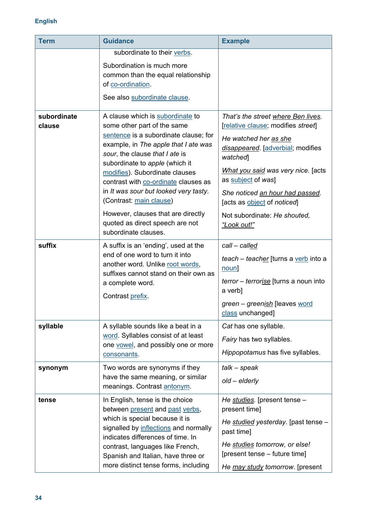<span id="page-33-3"></span><span id="page-33-2"></span><span id="page-33-1"></span><span id="page-33-0"></span>

| <b>Term</b>           | <b>Guidance</b>                                                                                                                                                                                                                                                                                                                                                                                                                                                     | <b>Example</b>                                                                                                                                                                                                                                                                                                                        |
|-----------------------|---------------------------------------------------------------------------------------------------------------------------------------------------------------------------------------------------------------------------------------------------------------------------------------------------------------------------------------------------------------------------------------------------------------------------------------------------------------------|---------------------------------------------------------------------------------------------------------------------------------------------------------------------------------------------------------------------------------------------------------------------------------------------------------------------------------------|
|                       | subordinate to their verbs.<br>Subordination is much more<br>common than the equal relationship<br>of co-ordination.<br>See also subordinate clause.                                                                                                                                                                                                                                                                                                                |                                                                                                                                                                                                                                                                                                                                       |
| subordinate<br>clause | A clause which is subordinate to<br>some other part of the same<br>sentence is a subordinate clause; for<br>example, in The apple that I ate was<br>sour, the clause that I ate is<br>subordinate to apple (which it<br>modifies). Subordinate clauses<br>contrast with co-ordinate clauses as<br>in It was sour but looked very tasty.<br>(Contrast: main clause)<br>However, clauses that are directly<br>quoted as direct speech are not<br>subordinate clauses. | That's the street where Ben lives.<br>[relative clause; modifies street]<br>He watched her as she<br>disappeared. [adverbial; modifies<br>watched<br>What you said was very nice. [acts<br>as subject of was]<br>She noticed an hour had passed.<br>[acts as object of noticed]<br>Not subordinate: He shouted,<br><u>"Look out!"</u> |
| suffix                | A suffix is an 'ending', used at the<br>end of one word to turn it into<br>another word. Unlike root words,<br>suffixes cannot stand on their own as<br>a complete word.<br>Contrast prefix.                                                                                                                                                                                                                                                                        | call - called<br>teach – teacher [turns a verb into a<br>noun<br>terror - terrorise [turns a noun into<br>a verb]<br>green - greenish [leaves word<br>class unchanged]                                                                                                                                                                |
| syllable              | A syllable sounds like a beat in a<br>word. Syllables consist of at least<br>one vowel, and possibly one or more<br>consonants.                                                                                                                                                                                                                                                                                                                                     | Cat has one syllable.<br>Fairy has two syllables.<br>Hippopotamus has five syllables.                                                                                                                                                                                                                                                 |
| synonym               | Two words are synonyms if they<br>have the same meaning, or similar<br>meanings. Contrast antonym.                                                                                                                                                                                                                                                                                                                                                                  | $talk - speak$<br>$old$ – elderly                                                                                                                                                                                                                                                                                                     |
| tense                 | In English, tense is the choice<br>between present and past verbs,<br>which is special because it is<br>signalled by inflections and normally<br>indicates differences of time. In<br>contrast, languages like French,<br>Spanish and Italian, have three or<br>more distinct tense forms, including                                                                                                                                                                | He studies. [present tense -<br>present time]<br>He studied yesterday. [past tense -<br>past time]<br>He studies tomorrow, or else!<br>[present tense – future time]<br>He may study tomorrow. [present                                                                                                                               |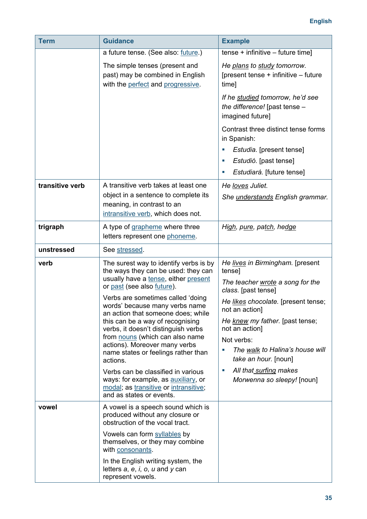<span id="page-34-2"></span><span id="page-34-1"></span><span id="page-34-0"></span>

| <b>Term</b>     | <b>Guidance</b>                                                                                                                                                                                                                                                                                                                                                                                                                                                                                                                                                                                                      | <b>Example</b>                                                                                                                                                                                                                                                                                                                                                  |
|-----------------|----------------------------------------------------------------------------------------------------------------------------------------------------------------------------------------------------------------------------------------------------------------------------------------------------------------------------------------------------------------------------------------------------------------------------------------------------------------------------------------------------------------------------------------------------------------------------------------------------------------------|-----------------------------------------------------------------------------------------------------------------------------------------------------------------------------------------------------------------------------------------------------------------------------------------------------------------------------------------------------------------|
|                 | a future tense. (See also: future.)                                                                                                                                                                                                                                                                                                                                                                                                                                                                                                                                                                                  | $tense + infinite - future time$                                                                                                                                                                                                                                                                                                                                |
|                 | The simple tenses (present and<br>past) may be combined in English<br>with the perfect and progressive.                                                                                                                                                                                                                                                                                                                                                                                                                                                                                                              | He plans to study tomorrow.<br>[present tense + infinitive – future<br>time]                                                                                                                                                                                                                                                                                    |
|                 |                                                                                                                                                                                                                                                                                                                                                                                                                                                                                                                                                                                                                      | If he studied tomorrow, he'd see<br>the difference! [past tense -<br>imagined future]                                                                                                                                                                                                                                                                           |
|                 |                                                                                                                                                                                                                                                                                                                                                                                                                                                                                                                                                                                                                      | Contrast three distinct tense forms<br>in Spanish:                                                                                                                                                                                                                                                                                                              |
|                 |                                                                                                                                                                                                                                                                                                                                                                                                                                                                                                                                                                                                                      | Estudia. [present tense]                                                                                                                                                                                                                                                                                                                                        |
|                 |                                                                                                                                                                                                                                                                                                                                                                                                                                                                                                                                                                                                                      | Estudió. [past tense]<br>T,                                                                                                                                                                                                                                                                                                                                     |
|                 |                                                                                                                                                                                                                                                                                                                                                                                                                                                                                                                                                                                                                      | Estudiará. [future tense]                                                                                                                                                                                                                                                                                                                                       |
| transitive verb | A transitive verb takes at least one                                                                                                                                                                                                                                                                                                                                                                                                                                                                                                                                                                                 | He loves Juliet.                                                                                                                                                                                                                                                                                                                                                |
|                 | object in a sentence to complete its<br>meaning, in contrast to an<br>intransitive verb, which does not.                                                                                                                                                                                                                                                                                                                                                                                                                                                                                                             | She understands English grammar.                                                                                                                                                                                                                                                                                                                                |
| trigraph        | A type of grapheme where three<br>letters represent one phoneme.                                                                                                                                                                                                                                                                                                                                                                                                                                                                                                                                                     | High, pure, patch, hedge                                                                                                                                                                                                                                                                                                                                        |
| unstressed      | See stressed.                                                                                                                                                                                                                                                                                                                                                                                                                                                                                                                                                                                                        |                                                                                                                                                                                                                                                                                                                                                                 |
| verb            | The surest way to identify verbs is by<br>the ways they can be used: they can<br>usually have a tense, either present<br>or past (see also future).<br>Verbs are sometimes called 'doing<br>words' because many verbs name<br>an action that someone does; while<br>this can be a way of recognising<br>verbs, it doesn't distinguish verbs<br>from nouns (which can also name<br>actions). Moreover many verbs<br>name states or feelings rather than<br>actions.<br>Verbs can be classified in various<br>ways: for example, as auxiliary, or<br>modal; as transitive or intransitive;<br>and as states or events. | He lives in Birmingham. [present<br>tense]<br>The teacher wrote a song for the<br>class. [past tense]<br>He likes chocolate. [present tense;<br>not an action]<br>He knew my father. [past tense;<br>not an action]<br>Not verbs:<br>The walk to Halina's house will<br>ш<br>take an hour. [noun]<br>All that surfing makes<br>T,<br>Morwenna so sleepy! [noun] |
| vowel           | A vowel is a speech sound which is<br>produced without any closure or<br>obstruction of the vocal tract.<br>Vowels can form syllables by<br>themselves, or they may combine<br>with consonants.<br>In the English writing system, the<br>letters $a, e, i, o, u$ and $y$ can<br>represent vowels.                                                                                                                                                                                                                                                                                                                    |                                                                                                                                                                                                                                                                                                                                                                 |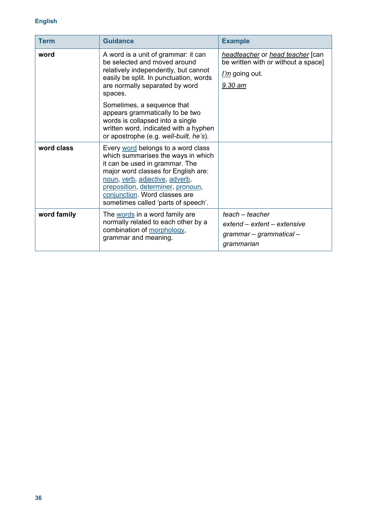<span id="page-35-2"></span><span id="page-35-1"></span><span id="page-35-0"></span>

| <b>Term</b> | <b>Guidance</b>                                                                                                                                                                                                                                                                                  | <b>Example</b>                                                                                              |
|-------------|--------------------------------------------------------------------------------------------------------------------------------------------------------------------------------------------------------------------------------------------------------------------------------------------------|-------------------------------------------------------------------------------------------------------------|
| word        | A word is a unit of grammar: it can<br>be selected and moved around<br>relatively independently, but cannot<br>easily be split. In punctuation, words<br>are normally separated by word<br>spaces.                                                                                               | headteacher or head teacher [can<br>be written with or without a space]<br>I'm going out.<br><u>9.30 am</u> |
|             | Sometimes, a sequence that<br>appears grammatically to be two<br>words is collapsed into a single<br>written word, indicated with a hyphen<br>or apostrophe (e.g. well-built, he's).                                                                                                             |                                                                                                             |
| word class  | Every word belongs to a word class<br>which summarises the ways in which<br>it can be used in grammar. The<br>major word classes for English are:<br>noun, verb, adjective, adverb,<br>preposition, determiner, pronoun,<br>conjunction. Word classes are<br>sometimes called 'parts of speech'. |                                                                                                             |
| word family | The words in a word family are<br>normally related to each other by a<br>combination of morphology,<br>grammar and meaning.                                                                                                                                                                      | $teach - teacher$<br>extend - extent - extensive<br>grammar - grammatical -<br>grammarian                   |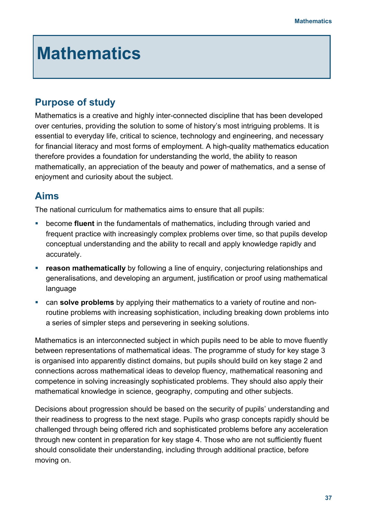# **Mathematics**

## **Purpose of study**

Mathematics is a creative and highly inter-connected discipline that has been developed over centuries, providing the solution to some of history's most intriguing problems. It is essential to everyday life, critical to science, technology and engineering, and necessary for financial literacy and most forms of employment. A high-quality mathematics education therefore provides a foundation for understanding the world, the ability to reason mathematically, an appreciation of the beauty and power of mathematics, and a sense of enjoyment and curiosity about the subject.

## **Aims**

The national curriculum for mathematics aims to ensure that all pupils:

- become **fluent** in the fundamentals of mathematics, including through varied and frequent practice with increasingly complex problems over time, so that pupils develop conceptual understanding and the ability to recall and apply knowledge rapidly and accurately.
- **reason mathematically** by following a line of enquiry, conjecturing relationships and generalisations, and developing an argument, justification or proof using mathematical language
- can **solve problems** by applying their mathematics to a variety of routine and nonroutine problems with increasing sophistication, including breaking down problems into a series of simpler steps and persevering in seeking solutions.

Mathematics is an interconnected subject in which pupils need to be able to move fluently between representations of mathematical ideas. The programme of study for key stage 3 is organised into apparently distinct domains, but pupils should build on key stage 2 and connections across mathematical ideas to develop fluency, mathematical reasoning and competence in solving increasingly sophisticated problems. They should also apply their mathematical knowledge in science, geography, computing and other subjects.

Decisions about progression should be based on the security of pupils' understanding and their readiness to progress to the next stage. Pupils who grasp concepts rapidly should be challenged through being offered rich and sophisticated problems before any acceleration through new content in preparation for key stage 4. Those who are not sufficiently fluent should consolidate their understanding, including through additional practice, before moving on.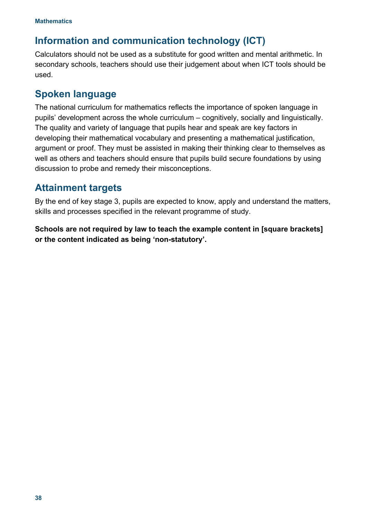# **Information and communication technology (ICT)**

Calculators should not be used as a substitute for good written and mental arithmetic. In secondary schools, teachers should use their judgement about when ICT tools should be used.

# **Spoken language**

The national curriculum for mathematics reflects the importance of spoken language in pupils' development across the whole curriculum – cognitively, socially and linguistically. The quality and variety of language that pupils hear and speak are key factors in developing their mathematical vocabulary and presenting a mathematical justification, argument or proof. They must be assisted in making their thinking clear to themselves as well as others and teachers should ensure that pupils build secure foundations by using discussion to probe and remedy their misconceptions.

## **Attainment targets**

By the end of key stage 3, pupils are expected to know, apply and understand the matters, skills and processes specified in the relevant programme of study.

**Schools are not required by law to teach the example content in [square brackets] or the content indicated as being 'non-statutory'.**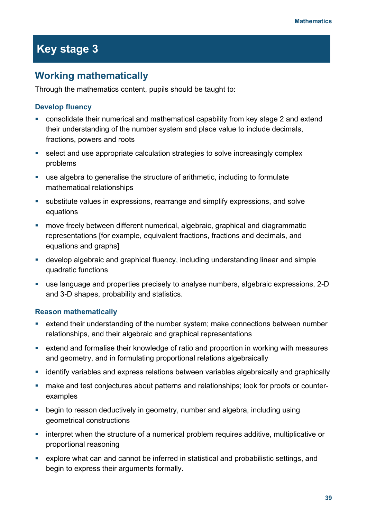# **Key stage 3**

## **Working mathematically**

Through the mathematics content, pupils should be taught to:

### **Develop fluency**

- consolidate their numerical and mathematical capability from key stage 2 and extend their understanding of the number system and place value to include decimals, fractions, powers and roots
- select and use appropriate calculation strategies to solve increasingly complex problems
- use algebra to generalise the structure of arithmetic, including to formulate mathematical relationships
- substitute values in expressions, rearrange and simplify expressions, and solve equations
- move freely between different numerical, algebraic, graphical and diagrammatic representations [for example, equivalent fractions, fractions and decimals, and equations and graphs]
- develop algebraic and graphical fluency, including understanding linear and simple quadratic functions
- use language and properties precisely to analyse numbers, algebraic expressions, 2-D and 3-D shapes, probability and statistics.

### **Reason mathematically**

- extend their understanding of the number system; make connections between number relationships, and their algebraic and graphical representations
- extend and formalise their knowledge of ratio and proportion in working with measures and geometry, and in formulating proportional relations algebraically
- identify variables and express relations between variables algebraically and graphically
- make and test conjectures about patterns and relationships; look for proofs or counterexamples
- begin to reason deductively in geometry, number and algebra, including using geometrical constructions
- **EXEDENT** interpret when the structure of a numerical problem requires additive, multiplicative or proportional reasoning
- explore what can and cannot be inferred in statistical and probabilistic settings, and begin to express their arguments formally.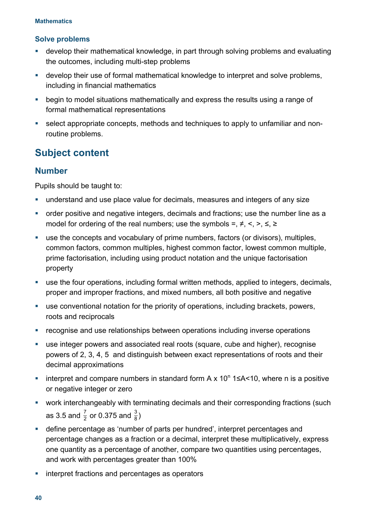#### **Mathematics**

#### **Solve problems**

- develop their mathematical knowledge, in part through solving problems and evaluating the outcomes, including multi-step problems
- develop their use of formal mathematical knowledge to interpret and solve problems, including in financial mathematics
- begin to model situations mathematically and express the results using a range of formal mathematical representations
- select appropriate concepts, methods and techniques to apply to unfamiliar and nonroutine problems.

## **Subject content**

## **Number**

- understand and use place value for decimals, measures and integers of any size
- order positive and negative integers, decimals and fractions; use the number line as a model for ordering of the real numbers; use the symbols =,  $\neq$ ,  $\lt$ ,  $\gt$ ,  $\leq$ ,  $\geq$
- use the concepts and vocabulary of prime numbers, factors (or divisors), multiples, common factors, common multiples, highest common factor, lowest common multiple, prime factorisation, including using product notation and the unique factorisation property
- use the four operations, including formal written methods, applied to integers, decimals, proper and improper fractions, and mixed numbers, all both positive and negative
- use conventional notation for the priority of operations, including brackets, powers, roots and reciprocals
- **•** recognise and use relationships between operations including inverse operations
- use integer powers and associated real roots (square, cube and higher), recognise powers of 2, 3, 4, 5 and distinguish between exact representations of roots and their decimal approximations
- **■** interpret and compare numbers in standard form A x 10<sup>n</sup> 1≤A<10, where n is a positive or negative integer or zero
- work interchangeably with terminating decimals and their corresponding fractions (such as 3.5 and  $\frac{7}{2}$  or 0.375 and  $\frac{3}{8}$ )
- define percentage as 'number of parts per hundred', interpret percentages and percentage changes as a fraction or a decimal, interpret these multiplicatively, express one quantity as a percentage of another, compare two quantities using percentages, and work with percentages greater than 100%
- **image interpret fractions and percentages as operators**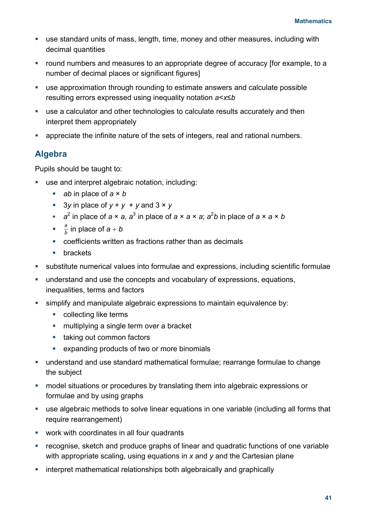- use standard units of mass, length, time, money and other measures, including with decimal quantities
- **•** round numbers and measures to an appropriate degree of accuracy [for example, to a number of decimal places or significant figures]
- use approximation through rounding to estimate answers and calculate possible resulting errors expressed using inequality notation *a*<*x*≤*b*
- use a calculator and other technologies to calculate results accurately and then interpret them appropriately
- appreciate the infinite nature of the sets of integers, real and rational numbers.

## **Algebra**

- use and interpret algebraic notation, including:
	- *ab* in place of *a* × *b*
	- 3*y* in place of  $y + y + y$  and  $3 \times y$
	- *a*<sup>2</sup> in place of *a* × *a*, *a*<sup>3</sup> in place of *a* × *a* × *a*; *a*<sup>2</sup>*b* in place of *a* × *a* × *b*
	- **a** in place of  $a \div b$
	- coefficients written as fractions rather than as decimals
	- brackets
- substitute numerical values into formulae and expressions, including scientific formulae
- understand and use the concepts and vocabulary of expressions, equations, inequalities, terms and factors
- simplify and manipulate algebraic expressions to maintain equivalence by:
	- **EXECOLLECTION COLLECTION**
	- **nultiplying a single term over a bracket**
	- **taking out common factors**
	- expanding products of two or more binomials
- understand and use standard mathematical formulae; rearrange formulae to change the subject
- **number 1** model situations or procedures by translating them into algebraic expressions or formulae and by using graphs
- use algebraic methods to solve linear equations in one variable (including all forms that require rearrangement)
- **•** work with coordinates in all four quadrants
- recognise, sketch and produce graphs of linear and quadratic functions of one variable with appropriate scaling, using equations in *x* and *y* and the Cartesian plane
- interpret mathematical relationships both algebraically and graphically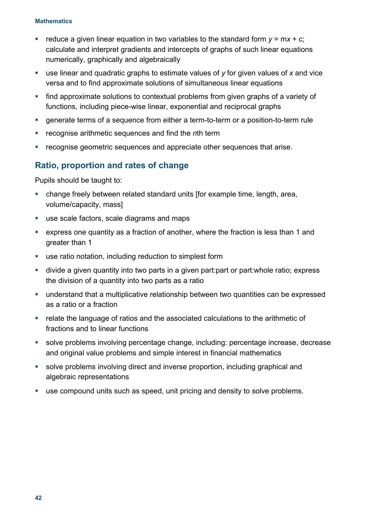#### **Mathematics**

- reduce a given linear equation in two variables to the standard form  $v = mx + c$ ; calculate and interpret gradients and intercepts of graphs of such linear equations numerically, graphically and algebraically
- use linear and quadratic graphs to estimate values of *y* for given values of *x* and vice versa and to find approximate solutions of simultaneous linear equations
- find approximate solutions to contextual problems from given graphs of a variety of functions, including piece-wise linear, exponential and reciprocal graphs
- generate terms of a sequence from either a term-to-term or a position-to-term rule
- recognise arithmetic sequences and find the *n*th term
- **•** recognise geometric sequences and appreciate other sequences that arise.

## **Ratio, proportion and rates of change**

- change freely between related standard units [for example time, length, area, volume/capacity, mass]
- use scale factors, scale diagrams and maps
- express one quantity as a fraction of another, where the fraction is less than 1 and greater than 1
- use ratio notation, including reduction to simplest form
- divide a given quantity into two parts in a given part:part or part:whole ratio; express the division of a quantity into two parts as a ratio
- understand that a multiplicative relationship between two quantities can be expressed as a ratio or a fraction
- **•** relate the language of ratios and the associated calculations to the arithmetic of fractions and to linear functions
- solve problems involving percentage change, including: percentage increase, decrease and original value problems and simple interest in financial mathematics
- solve problems involving direct and inverse proportion, including graphical and algebraic representations
- use compound units such as speed, unit pricing and density to solve problems.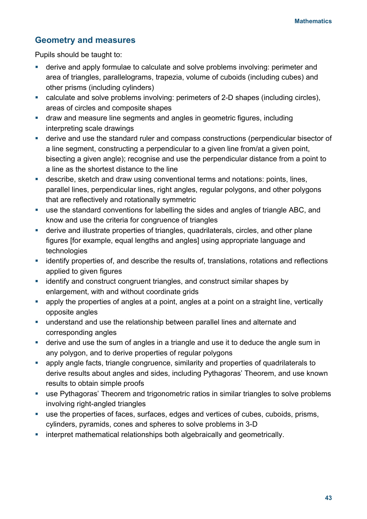## **Geometry and measures**

- derive and apply formulae to calculate and solve problems involving: perimeter and area of triangles, parallelograms, trapezia, volume of cuboids (including cubes) and other prisms (including cylinders)
- calculate and solve problems involving: perimeters of 2-D shapes (including circles), areas of circles and composite shapes
- draw and measure line segments and angles in geometric figures, including interpreting scale drawings
- derive and use the standard ruler and compass constructions (perpendicular bisector of a line segment, constructing a perpendicular to a given line from/at a given point, bisecting a given angle); recognise and use the perpendicular distance from a point to a line as the shortest distance to the line
- describe, sketch and draw using conventional terms and notations: points, lines, parallel lines, perpendicular lines, right angles, regular polygons, and other polygons that are reflectively and rotationally symmetric
- use the standard conventions for labelling the sides and angles of triangle ABC, and know and use the criteria for congruence of triangles
- derive and illustrate properties of triangles, quadrilaterals, circles, and other plane figures [for example, equal lengths and angles] using appropriate language and technologies
- identify properties of, and describe the results of, translations, rotations and reflections applied to given figures
- identify and construct congruent triangles, and construct similar shapes by enlargement, with and without coordinate grids
- apply the properties of angles at a point, angles at a point on a straight line, vertically opposite angles
- understand and use the relationship between parallel lines and alternate and corresponding angles
- derive and use the sum of angles in a triangle and use it to deduce the angle sum in any polygon, and to derive properties of regular polygons
- apply angle facts, triangle congruence, similarity and properties of quadrilaterals to derive results about angles and sides, including Pythagoras' Theorem, and use known results to obtain simple proofs
- use Pythagoras' Theorem and trigonometric ratios in similar triangles to solve problems involving right-angled triangles
- use the properties of faces, surfaces, edges and vertices of cubes, cuboids, prisms, cylinders, pyramids, cones and spheres to solve problems in 3-D
- **EXECTE interpret mathematical relationships both algebraically and geometrically.**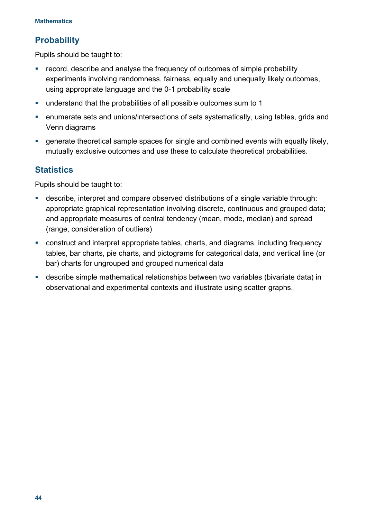## **Probability**

Pupils should be taught to:

- **•** record, describe and analyse the frequency of outcomes of simple probability experiments involving randomness, fairness, equally and unequally likely outcomes, using appropriate language and the 0-1 probability scale
- understand that the probabilities of all possible outcomes sum to 1
- enumerate sets and unions/intersections of sets systematically, using tables, grids and Venn diagrams
- generate theoretical sample spaces for single and combined events with equally likely, mutually exclusive outcomes and use these to calculate theoretical probabilities.

## **Statistics**

- describe, interpret and compare observed distributions of a single variable through: appropriate graphical representation involving discrete, continuous and grouped data; and appropriate measures of central tendency (mean, mode, median) and spread (range, consideration of outliers)
- construct and interpret appropriate tables, charts, and diagrams, including frequency tables, bar charts, pie charts, and pictograms for categorical data, and vertical line (or bar) charts for ungrouped and grouped numerical data
- describe simple mathematical relationships between two variables (bivariate data) in observational and experimental contexts and illustrate using scatter graphs.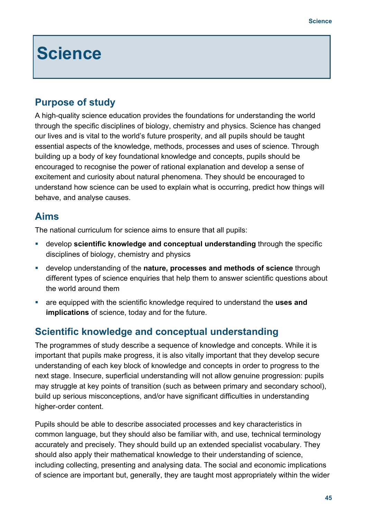# **Purpose of study**

A high-quality science education provides the foundations for understanding the world through the specific disciplines of biology, chemistry and physics. Science has changed our lives and is vital to the world's future prosperity, and all pupils should be taught essential aspects of the knowledge, methods, processes and uses of science. Through building up a body of key foundational knowledge and concepts, pupils should be encouraged to recognise the power of rational explanation and develop a sense of excitement and curiosity about natural phenomena. They should be encouraged to understand how science can be used to explain what is occurring, predict how things will behave, and analyse causes.

## **Aims**

The national curriculum for science aims to ensure that all pupils:

- develop **scientific knowledge and conceptual understanding** through the specific disciplines of biology, chemistry and physics
- develop understanding of the **nature, processes and methods of science** through different types of science enquiries that help them to answer scientific questions about the world around them
- are equipped with the scientific knowledge required to understand the **uses and implications** of science, today and for the future.

# **Scientific knowledge and conceptual understanding**

The programmes of study describe a sequence of knowledge and concepts. While it is important that pupils make progress, it is also vitally important that they develop secure understanding of each key block of knowledge and concepts in order to progress to the next stage. Insecure, superficial understanding will not allow genuine progression: pupils may struggle at key points of transition (such as between primary and secondary school), build up serious misconceptions, and/or have significant difficulties in understanding higher-order content.

Pupils should be able to describe associated processes and key characteristics in common language, but they should also be familiar with, and use, technical terminology accurately and precisely. They should build up an extended specialist vocabulary. They should also apply their mathematical knowledge to their understanding of science, including collecting, presenting and analysing data. The social and economic implications of science are important but, generally, they are taught most appropriately within the wider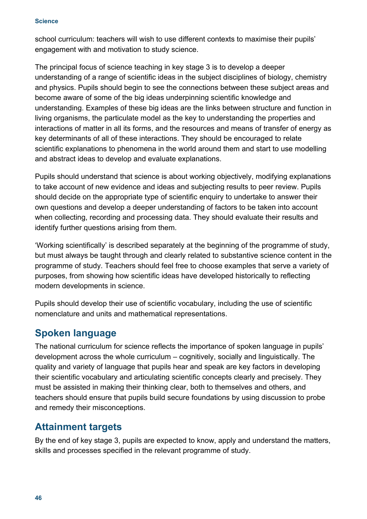school curriculum: teachers will wish to use different contexts to maximise their pupils' engagement with and motivation to study science.

The principal focus of science teaching in key stage 3 is to develop a deeper understanding of a range of scientific ideas in the subject disciplines of biology, chemistry and physics. Pupils should begin to see the connections between these subject areas and become aware of some of the big ideas underpinning scientific knowledge and understanding. Examples of these big ideas are the links between structure and function in living organisms, the particulate model as the key to understanding the properties and interactions of matter in all its forms, and the resources and means of transfer of energy as key determinants of all of these interactions. They should be encouraged to relate scientific explanations to phenomena in the world around them and start to use modelling and abstract ideas to develop and evaluate explanations.

Pupils should understand that science is about working objectively, modifying explanations to take account of new evidence and ideas and subjecting results to peer review. Pupils should decide on the appropriate type of scientific enquiry to undertake to answer their own questions and develop a deeper understanding of factors to be taken into account when collecting, recording and processing data. They should evaluate their results and identify further questions arising from them.

'Working scientifically' is described separately at the beginning of the programme of study, but must always be taught through and clearly related to substantive science content in the programme of study. Teachers should feel free to choose examples that serve a variety of purposes, from showing how scientific ideas have developed historically to reflecting modern developments in science.

Pupils should develop their use of scientific vocabulary, including the use of scientific nomenclature and units and mathematical representations.

# **Spoken language**

The national curriculum for science reflects the importance of spoken language in pupils' development across the whole curriculum – cognitively, socially and linguistically. The quality and variety of language that pupils hear and speak are key factors in developing their scientific vocabulary and articulating scientific concepts clearly and precisely. They must be assisted in making their thinking clear, both to themselves and others, and teachers should ensure that pupils build secure foundations by using discussion to probe and remedy their misconceptions.

## **Attainment targets**

By the end of key stage 3, pupils are expected to know, apply and understand the matters, skills and processes specified in the relevant programme of study.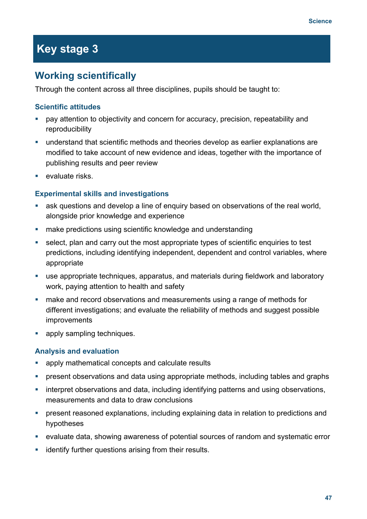# **Key stage 3**

# **Working scientifically**

Through the content across all three disciplines, pupils should be taught to:

### **Scientific attitudes**

- **Pay attention to objectivity and concern for accuracy, precision, repeatability and** reproducibility
- understand that scientific methods and theories develop as earlier explanations are modified to take account of new evidence and ideas, together with the importance of publishing results and peer review
- $\blacksquare$  evaluate risks.

### **Experimental skills and investigations**

- ask questions and develop a line of enquiry based on observations of the real world, alongside prior knowledge and experience
- **EXECT** make predictions using scientific knowledge and understanding
- select, plan and carry out the most appropriate types of scientific enquiries to test predictions, including identifying independent, dependent and control variables, where appropriate
- use appropriate techniques, apparatus, and materials during fieldwork and laboratory work, paying attention to health and safety
- **nake and record observations and measurements using a range of methods for** different investigations; and evaluate the reliability of methods and suggest possible improvements
- **apply sampling techniques.**

### **Analysis and evaluation**

- **EXECUTE:** apply mathematical concepts and calculate results
- **•** present observations and data using appropriate methods, including tables and graphs
- **EXT** interpret observations and data, including identifying patterns and using observations, measurements and data to draw conclusions
- present reasoned explanations, including explaining data in relation to predictions and hypotheses
- evaluate data, showing awareness of potential sources of random and systematic error
- **EXECUTE:** identify further questions arising from their results.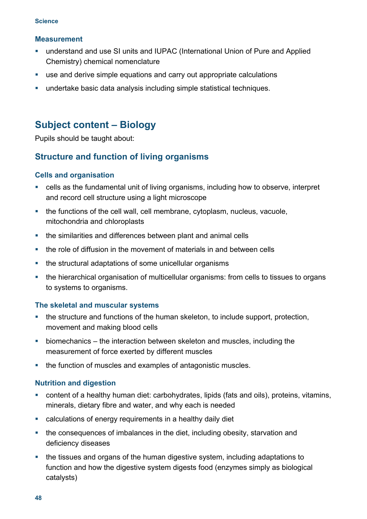#### **Measurement**

- understand and use SI units and IUPAC (International Union of Pure and Applied Chemistry) chemical nomenclature
- use and derive simple equations and carry out appropriate calculations
- undertake basic data analysis including simple statistical techniques.

## **Subject content – Biology**

Pupils should be taught about:

## **Structure and function of living organisms**

### **Cells and organisation**

- cells as the fundamental unit of living organisms, including how to observe, interpret and record cell structure using a light microscope
- the functions of the cell wall, cell membrane, cytoplasm, nucleus, vacuole, mitochondria and chloroplasts
- the similarities and differences between plant and animal cells
- the role of diffusion in the movement of materials in and between cells
- the structural adaptations of some unicellular organisms
- the hierarchical organisation of multicellular organisms: from cells to tissues to organs to systems to organisms.

### **The skeletal and muscular systems**

- the structure and functions of the human skeleton, to include support, protection, movement and making blood cells
- biomechanics the interaction between skeleton and muscles, including the measurement of force exerted by different muscles
- the function of muscles and examples of antagonistic muscles.

### **Nutrition and digestion**

- content of a healthy human diet: carbohydrates, lipids (fats and oils), proteins, vitamins, minerals, dietary fibre and water, and why each is needed
- calculations of energy requirements in a healthy daily diet
- the consequences of imbalances in the diet, including obesity, starvation and deficiency diseases
- the tissues and organs of the human digestive system, including adaptations to function and how the digestive system digests food (enzymes simply as biological catalysts)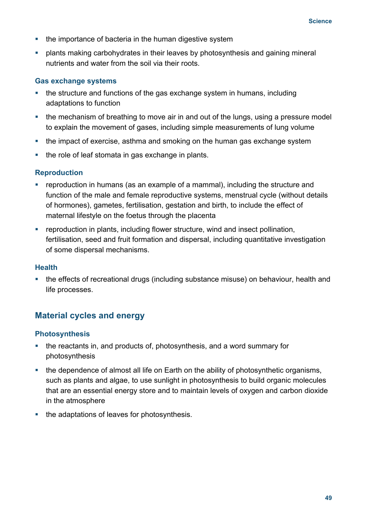- the importance of bacteria in the human digestive system
- plants making carbohydrates in their leaves by photosynthesis and gaining mineral nutrients and water from the soil via their roots.

#### **Gas exchange systems**

- the structure and functions of the gas exchange system in humans, including adaptations to function
- the mechanism of breathing to move air in and out of the lungs, using a pressure model to explain the movement of gases, including simple measurements of lung volume
- the impact of exercise, asthma and smoking on the human gas exchange system
- the role of leaf stomata in gas exchange in plants.

#### **Reproduction**

- reproduction in humans (as an example of a mammal), including the structure and function of the male and female reproductive systems, menstrual cycle (without details of hormones), gametes, fertilisation, gestation and birth, to include the effect of maternal lifestyle on the foetus through the placenta
- reproduction in plants, including flower structure, wind and insect pollination, fertilisation, seed and fruit formation and dispersal, including quantitative investigation of some dispersal mechanisms.

#### **Health**

 the effects of recreational drugs (including substance misuse) on behaviour, health and life processes.

## **Material cycles and energy**

### **Photosynthesis**

- the reactants in, and products of, photosynthesis, and a word summary for photosynthesis
- the dependence of almost all life on Earth on the ability of photosynthetic organisms, such as plants and algae, to use sunlight in photosynthesis to build organic molecules that are an essential energy store and to maintain levels of oxygen and carbon dioxide in the atmosphere
- the adaptations of leaves for photosynthesis.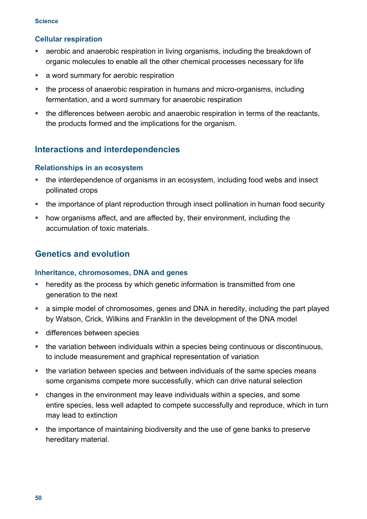### **Cellular respiration**

- aerobic and anaerobic respiration in living organisms, including the breakdown of organic molecules to enable all the other chemical processes necessary for life
- **a** a word summary for aerobic respiration
- the process of anaerobic respiration in humans and micro-organisms, including fermentation, and a word summary for anaerobic respiration
- the differences between aerobic and anaerobic respiration in terms of the reactants, the products formed and the implications for the organism.

## **Interactions and interdependencies**

### **Relationships in an ecosystem**

- the interdependence of organisms in an ecosystem, including food webs and insect pollinated crops
- the importance of plant reproduction through insect pollination in human food security
- **how organisms affect, and are affected by, their environment, including the** accumulation of toxic materials.

## **Genetics and evolution**

### **Inheritance, chromosomes, DNA and genes**

- **•** heredity as the process by which genetic information is transmitted from one generation to the next
- a simple model of chromosomes, genes and DNA in heredity, including the part played by Watson, Crick, Wilkins and Franklin in the development of the DNA model
- **differences between species**
- the variation between individuals within a species being continuous or discontinuous, to include measurement and graphical representation of variation
- the variation between species and between individuals of the same species means some organisms compete more successfully, which can drive natural selection
- changes in the environment may leave individuals within a species, and some entire species, less well adapted to compete successfully and reproduce, which in turn may lead to extinction
- the importance of maintaining biodiversity and the use of gene banks to preserve hereditary material.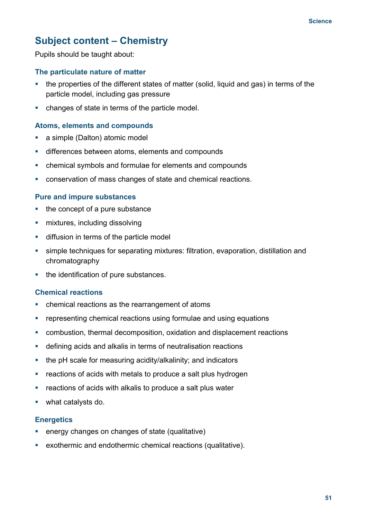# **Subject content – Chemistry**

Pupils should be taught about:

#### **The particulate nature of matter**

- the properties of the different states of matter (solid, liquid and gas) in terms of the particle model, including gas pressure
- changes of state in terms of the particle model.

#### **Atoms, elements and compounds**

- a simple (Dalton) atomic model
- differences between atoms, elements and compounds
- chemical symbols and formulae for elements and compounds
- conservation of mass changes of state and chemical reactions.

#### **Pure and impure substances**

- $\blacksquare$  the concept of a pure substance
- **EXECUTE:** mixtures, including dissolving
- **diffusion in terms of the particle model**
- simple techniques for separating mixtures: filtration, evaporation, distillation and chromatography
- the identification of pure substances.

#### **Chemical reactions**

- chemical reactions as the rearrangement of atoms
- representing chemical reactions using formulae and using equations
- combustion, thermal decomposition, oxidation and displacement reactions
- defining acids and alkalis in terms of neutralisation reactions
- the pH scale for measuring acidity/alkalinity; and indicators
- **•** reactions of acids with metals to produce a salt plus hydrogen
- **EXTERCT** reactions of acids with alkalis to produce a salt plus water
- **what catalysts do.**

#### **Energetics**

- energy changes on changes of state (qualitative)
- exothermic and endothermic chemical reactions (qualitative).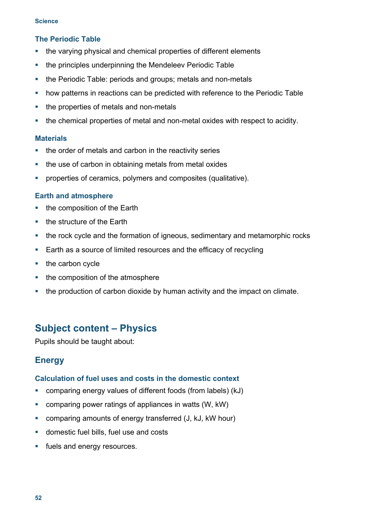### **The Periodic Table**

- the varying physical and chemical properties of different elements
- the principles underpinning the Mendeleev Periodic Table
- the Periodic Table: periods and groups; metals and non-metals
- how patterns in reactions can be predicted with reference to the Periodic Table
- the properties of metals and non-metals
- the chemical properties of metal and non-metal oxides with respect to acidity.

### **Materials**

- the order of metals and carbon in the reactivity series
- the use of carbon in obtaining metals from metal oxides
- **PEDECITE:** properties of ceramics, polymers and composites (qualitative).

### **Earth and atmosphere**

- the composition of the Earth
- $\blacksquare$  the structure of the Earth
- **the rock cycle and the formation of igneous, sedimentary and metamorphic rocks**
- **Earth as a source of limited resources and the efficacy of recycling**
- $\blacksquare$  the carbon cycle
- $\blacksquare$  the composition of the atmosphere
- the production of carbon dioxide by human activity and the impact on climate.

## **Subject content – Physics**

Pupils should be taught about:

## **Energy**

### **Calculation of fuel uses and costs in the domestic context**

- comparing energy values of different foods (from labels) (kJ)
- comparing power ratings of appliances in watts (W, kW)
- comparing amounts of energy transferred (J, kJ, kW hour)
- domestic fuel bills, fuel use and costs
- **fuels and energy resources.**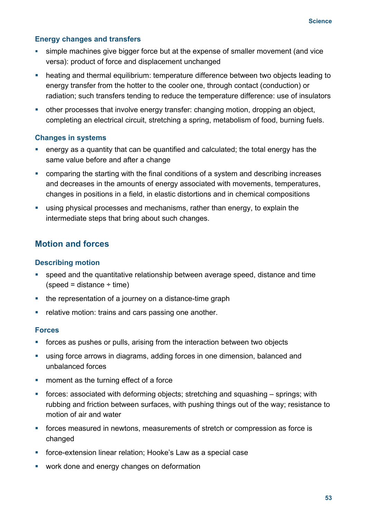#### **Energy changes and transfers**

- simple machines give bigger force but at the expense of smaller movement (and vice versa): product of force and displacement unchanged
- **•** heating and thermal equilibrium: temperature difference between two objects leading to energy transfer from the hotter to the cooler one, through contact (conduction) or radiation; such transfers tending to reduce the temperature difference: use of insulators
- other processes that involve energy transfer: changing motion, dropping an object, completing an electrical circuit, stretching a spring, metabolism of food, burning fuels.

#### **Changes in systems**

- energy as a quantity that can be quantified and calculated; the total energy has the same value before and after a change
- comparing the starting with the final conditions of a system and describing increases and decreases in the amounts of energy associated with movements, temperatures, changes in positions in a field, in elastic distortions and in chemical compositions
- using physical processes and mechanisms, rather than energy, to explain the intermediate steps that bring about such changes.

## **Motion and forces**

#### **Describing motion**

- speed and the quantitative relationship between average speed, distance and time  $(speed = distance \div time)$
- the representation of a journey on a distance-time graph
- **•** relative motion: trains and cars passing one another.

#### **Forces**

- forces as pushes or pulls, arising from the interaction between two objects
- using force arrows in diagrams, adding forces in one dimension, balanced and unbalanced forces
- **moment as the turning effect of a force**
- forces: associated with deforming objects; stretching and squashing springs; with rubbing and friction between surfaces, with pushing things out of the way; resistance to motion of air and water
- forces measured in newtons, measurements of stretch or compression as force is changed
- force-extension linear relation; Hooke's Law as a special case
- **work done and energy changes on deformation**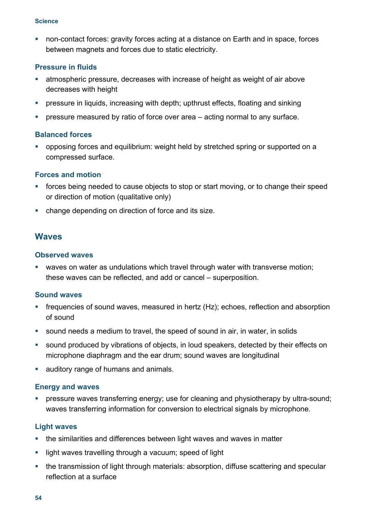non-contact forces: gravity forces acting at a distance on Earth and in space, forces between magnets and forces due to static electricity.

### **Pressure in fluids**

- atmospheric pressure, decreases with increase of height as weight of air above decreases with height
- pressure in liquids, increasing with depth; upthrust effects, floating and sinking
- pressure measured by ratio of force over area acting normal to any surface.

### **Balanced forces**

 opposing forces and equilibrium: weight held by stretched spring or supported on a compressed surface.

### **Forces and motion**

- forces being needed to cause objects to stop or start moving, or to change their speed or direction of motion (qualitative only)
- change depending on direction of force and its size.

## **Waves**

### **Observed waves**

 waves on water as undulations which travel through water with transverse motion; these waves can be reflected, and add or cancel – superposition.

### **Sound waves**

- frequencies of sound waves, measured in hertz (Hz); echoes, reflection and absorption of sound
- sound needs a medium to travel, the speed of sound in air, in water, in solids
- sound produced by vibrations of objects, in loud speakers, detected by their effects on microphone diaphragm and the ear drum; sound waves are longitudinal
- **auditory range of humans and animals.**

## **Energy and waves**

**PERCIST:** pressure waves transferring energy; use for cleaning and physiotherapy by ultra-sound; waves transferring information for conversion to electrical signals by microphone.

## **Light waves**

- the similarities and differences between light waves and waves in matter
- **If** light waves travelling through a vacuum; speed of light
- the transmission of light through materials: absorption, diffuse scattering and specular reflection at a surface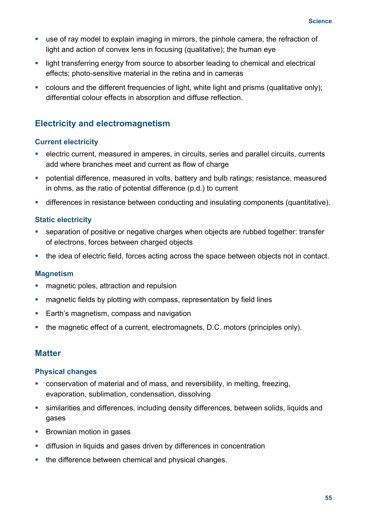- use of ray model to explain imaging in mirrors, the pinhole camera, the refraction of light and action of convex lens in focusing (qualitative); the human eye
- **EXEDENT III is also in the interpretation in the light transferring energy from source to absorber leading to chemical and electrical** effects; photo-sensitive material in the retina and in cameras
- colours and the different frequencies of light, white light and prisms (qualitative only); differential colour effects in absorption and diffuse reflection.

## **Electricity and electromagnetism**

### **Current electricity**

- electric current, measured in amperes, in circuits, series and parallel circuits, currents add where branches meet and current as flow of charge
- potential difference, measured in volts, battery and bulb ratings; resistance, measured in ohms, as the ratio of potential difference (p.d.) to current
- differences in resistance between conducting and insulating components (quantitative).

### **Static electricity**

- separation of positive or negative charges when objects are rubbed together: transfer of electrons, forces between charged objects
- the idea of electric field, forces acting across the space between objects not in contact.

#### **Magnetism**

- **EXECUTE:** magnetic poles, attraction and repulsion
- **EXECUTE:** magnetic fields by plotting with compass, representation by field lines
- **Earth's magnetism, compass and navigation**
- the magnetic effect of a current, electromagnets, D.C. motors (principles only).

## **Matter**

### **Physical changes**

- conservation of material and of mass, and reversibility, in melting, freezing, evaporation, sublimation, condensation, dissolving
- similarities and differences, including density differences, between solids, liquids and gases
- **Brownian motion in gases**
- diffusion in liquids and gases driven by differences in concentration
- the difference between chemical and physical changes.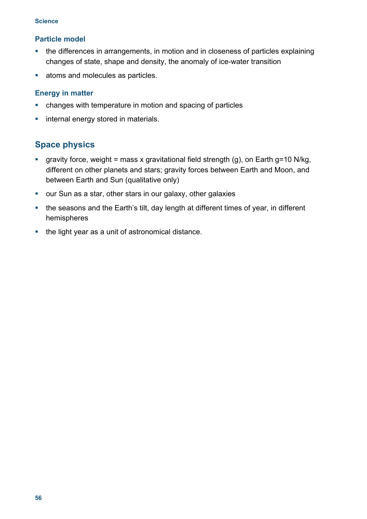### **Particle model**

- the differences in arrangements, in motion and in closeness of particles explaining changes of state, shape and density, the anomaly of ice-water transition
- **atoms and molecules as particles.**

### **Energy in matter**

- changes with temperature in motion and spacing of particles
- **internal energy stored in materials.**

## **Space physics**

- gravity force, weight = mass x gravitational field strength (g), on Earth g=10 N/kg, different on other planets and stars; gravity forces between Earth and Moon, and between Earth and Sun (qualitative only)
- our Sun as a star, other stars in our galaxy, other galaxies
- the seasons and the Earth's tilt, day length at different times of year, in different hemispheres
- the light year as a unit of astronomical distance.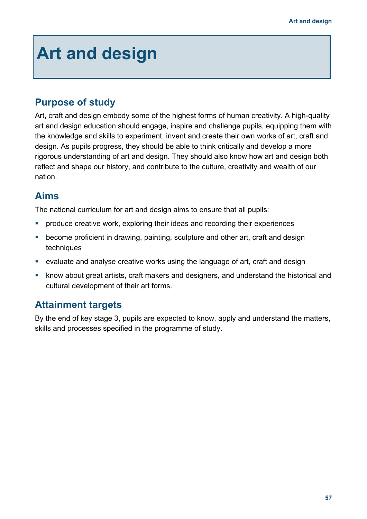# **Art and design**

## **Purpose of study**

Art, craft and design embody some of the highest forms of human creativity. A high-quality art and design education should engage, inspire and challenge pupils, equipping them with the knowledge and skills to experiment, invent and create their own works of art, craft and design. As pupils progress, they should be able to think critically and develop a more rigorous understanding of art and design. They should also know how art and design both reflect and shape our history, and contribute to the culture, creativity and wealth of our nation.

## **Aims**

The national curriculum for art and design aims to ensure that all pupils:

- **PEDECITE:** produce creative work, exploring their ideas and recording their experiences
- become proficient in drawing, painting, sculpture and other art, craft and design techniques
- evaluate and analyse creative works using the language of art, craft and design
- know about great artists, craft makers and designers, and understand the historical and cultural development of their art forms.

## **Attainment targets**

By the end of key stage 3, pupils are expected to know, apply and understand the matters, skills and processes specified in the programme of study.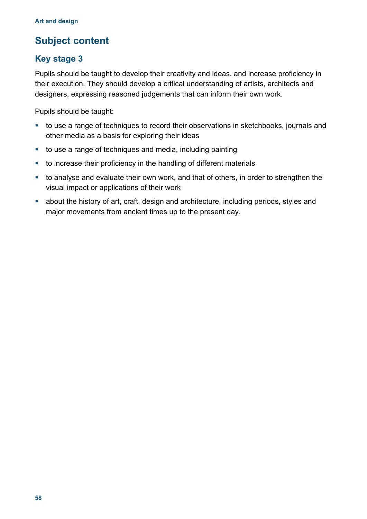# **Subject content**

## **Key stage 3**

Pupils should be taught to develop their creativity and ideas, and increase proficiency in their execution. They should develop a critical understanding of artists, architects and designers, expressing reasoned judgements that can inform their own work.

- to use a range of techniques to record their observations in sketchbooks, journals and other media as a basis for exploring their ideas
- to use a range of techniques and media, including painting
- to increase their proficiency in the handling of different materials
- to analyse and evaluate their own work, and that of others, in order to strengthen the visual impact or applications of their work
- about the history of art, craft, design and architecture, including periods, styles and major movements from ancient times up to the present day.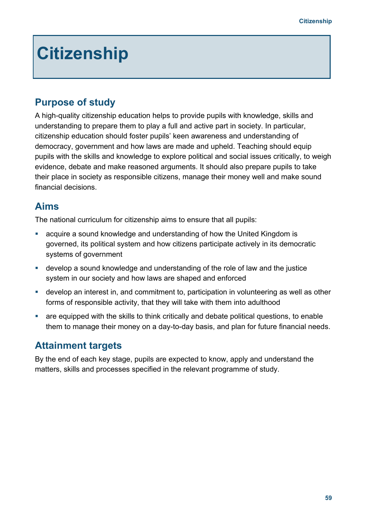# **Citizenship**

## **Purpose of study**

A high-quality citizenship education helps to provide pupils with knowledge, skills and understanding to prepare them to play a full and active part in society. In particular, citizenship education should foster pupils' keen awareness and understanding of democracy, government and how laws are made and upheld. Teaching should equip pupils with the skills and knowledge to explore political and social issues critically, to weigh evidence, debate and make reasoned arguments. It should also prepare pupils to take their place in society as responsible citizens, manage their money well and make sound financial decisions.

## **Aims**

The national curriculum for citizenship aims to ensure that all pupils:

- acquire a sound knowledge and understanding of how the United Kingdom is governed, its political system and how citizens participate actively in its democratic systems of government
- develop a sound knowledge and understanding of the role of law and the justice system in our society and how laws are shaped and enforced
- develop an interest in, and commitment to, participation in volunteering as well as other forms of responsible activity, that they will take with them into adulthood
- are equipped with the skills to think critically and debate political questions, to enable them to manage their money on a day-to-day basis, and plan for future financial needs.

# **Attainment targets**

By the end of each key stage, pupils are expected to know, apply and understand the matters, skills and processes specified in the relevant programme of study.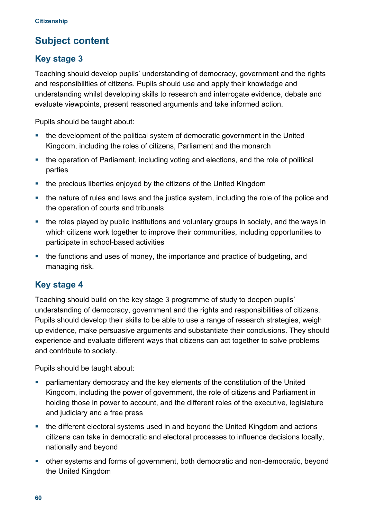# **Subject content**

## **Key stage 3**

Teaching should develop pupils' understanding of democracy, government and the rights and responsibilities of citizens. Pupils should use and apply their knowledge and understanding whilst developing skills to research and interrogate evidence, debate and evaluate viewpoints, present reasoned arguments and take informed action.

Pupils should be taught about:

- the development of the political system of democratic government in the United Kingdom, including the roles of citizens, Parliament and the monarch
- the operation of Parliament, including voting and elections, and the role of political parties
- the precious liberties enjoyed by the citizens of the United Kingdom
- the nature of rules and laws and the justice system, including the role of the police and the operation of courts and tribunals
- the roles played by public institutions and voluntary groups in society, and the ways in which citizens work together to improve their communities, including opportunities to participate in school-based activities
- the functions and uses of money, the importance and practice of budgeting, and managing risk.

## **Key stage 4**

Teaching should build on the key stage 3 programme of study to deepen pupils' understanding of democracy, government and the rights and responsibilities of citizens. Pupils should develop their skills to be able to use a range of research strategies, weigh up evidence, make persuasive arguments and substantiate their conclusions. They should experience and evaluate different ways that citizens can act together to solve problems and contribute to society.

- parliamentary democracy and the key elements of the constitution of the United Kingdom, including the power of government, the role of citizens and Parliament in holding those in power to account, and the different roles of the executive, legislature and judiciary and a free press
- the different electoral systems used in and beyond the United Kingdom and actions citizens can take in democratic and electoral processes to influence decisions locally, nationally and beyond
- other systems and forms of government, both democratic and non-democratic, beyond the United Kingdom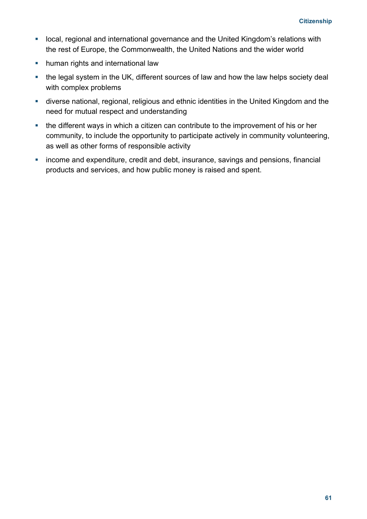- local, regional and international governance and the United Kingdom's relations with the rest of Europe, the Commonwealth, the United Nations and the wider world
- **•** human rights and international law
- the legal system in the UK, different sources of law and how the law helps society deal with complex problems
- diverse national, regional, religious and ethnic identities in the United Kingdom and the need for mutual respect and understanding
- the different ways in which a citizen can contribute to the improvement of his or her community, to include the opportunity to participate actively in community volunteering, as well as other forms of responsible activity
- income and expenditure, credit and debt, insurance, savings and pensions, financial products and services, and how public money is raised and spent.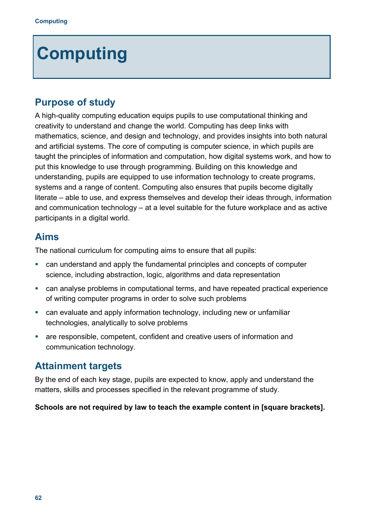# **Computing**

## **Purpose of study**

A high-quality computing education equips pupils to use computational thinking and creativity to understand and change the world. Computing has deep links with mathematics, science, and design and technology, and provides insights into both natural and artificial systems. The core of computing is computer science, in which pupils are taught the principles of information and computation, how digital systems work, and how to put this knowledge to use through programming. Building on this knowledge and understanding, pupils are equipped to use information technology to create programs, systems and a range of content. Computing also ensures that pupils become digitally literate – able to use, and express themselves and develop their ideas through, information and communication technology – at a level suitable for the future workplace and as active participants in a digital world.

## **Aims**

The national curriculum for computing aims to ensure that all pupils:

- can understand and apply the fundamental principles and concepts of computer science, including abstraction, logic, algorithms and data representation
- can analyse problems in computational terms, and have repeated practical experience of writing computer programs in order to solve such problems
- can evaluate and apply information technology, including new or unfamiliar technologies, analytically to solve problems
- are responsible, competent, confident and creative users of information and communication technology.

## **Attainment targets**

By the end of each key stage, pupils are expected to know, apply and understand the matters, skills and processes specified in the relevant programme of study.

### **Schools are not required by law to teach the example content in [square brackets].**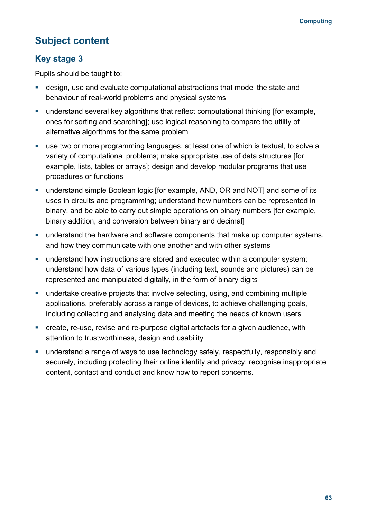# **Subject content**

## **Key stage 3**

- design, use and evaluate computational abstractions that model the state and behaviour of real-world problems and physical systems
- understand several key algorithms that reflect computational thinking [for example, ones for sorting and searching]; use logical reasoning to compare the utility of alternative algorithms for the same problem
- use two or more programming languages, at least one of which is textual, to solve a variety of computational problems; make appropriate use of data structures [for example, lists, tables or arrays]; design and develop modular programs that use procedures or functions
- understand simple Boolean logic [for example, AND, OR and NOT] and some of its uses in circuits and programming; understand how numbers can be represented in binary, and be able to carry out simple operations on binary numbers [for example, binary addition, and conversion between binary and decimal]
- understand the hardware and software components that make up computer systems, and how they communicate with one another and with other systems
- understand how instructions are stored and executed within a computer system; understand how data of various types (including text, sounds and pictures) can be represented and manipulated digitally, in the form of binary digits
- undertake creative projects that involve selecting, using, and combining multiple applications, preferably across a range of devices, to achieve challenging goals, including collecting and analysing data and meeting the needs of known users
- create, re-use, revise and re-purpose digital artefacts for a given audience, with attention to trustworthiness, design and usability
- understand a range of ways to use technology safely, respectfully, responsibly and securely, including protecting their online identity and privacy; recognise inappropriate content, contact and conduct and know how to report concerns.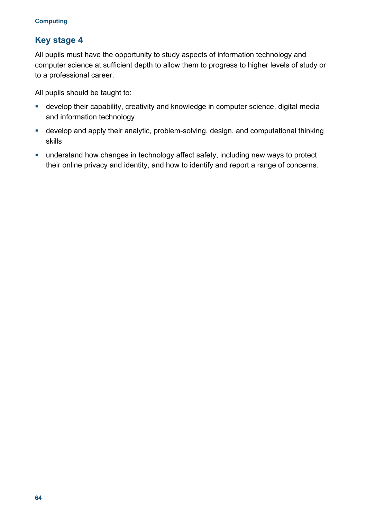## **Key stage 4**

All pupils must have the opportunity to study aspects of information technology and computer science at sufficient depth to allow them to progress to higher levels of study or to a professional career.

All pupils should be taught to:

- develop their capability, creativity and knowledge in computer science, digital media and information technology
- develop and apply their analytic, problem-solving, design, and computational thinking skills
- understand how changes in technology affect safety, including new ways to protect their online privacy and identity, and how to identify and report a range of concerns.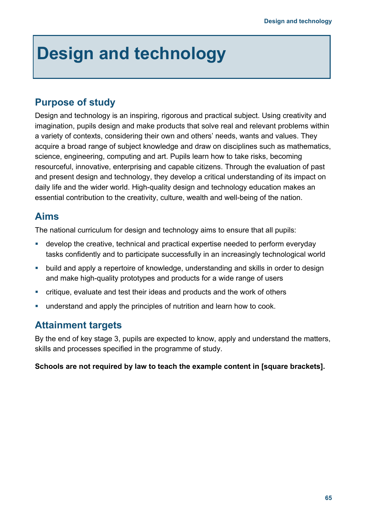# **Design and technology**

## **Purpose of study**

Design and technology is an inspiring, rigorous and practical subject. Using creativity and imagination, pupils design and make products that solve real and relevant problems within a variety of contexts, considering their own and others' needs, wants and values. They acquire a broad range of subject knowledge and draw on disciplines such as mathematics, science, engineering, computing and art. Pupils learn how to take risks, becoming resourceful, innovative, enterprising and capable citizens. Through the evaluation of past and present design and technology, they develop a critical understanding of its impact on daily life and the wider world. High-quality design and technology education makes an essential contribution to the creativity, culture, wealth and well-being of the nation.

## **Aims**

The national curriculum for design and technology aims to ensure that all pupils:

- develop the creative, technical and practical expertise needed to perform everyday tasks confidently and to participate successfully in an increasingly technological world
- build and apply a repertoire of knowledge, understanding and skills in order to design and make high-quality prototypes and products for a wide range of users
- critique, evaluate and test their ideas and products and the work of others
- understand and apply the principles of nutrition and learn how to cook.

## **Attainment targets**

By the end of key stage 3, pupils are expected to know, apply and understand the matters, skills and processes specified in the programme of study.

**Schools are not required by law to teach the example content in [square brackets].**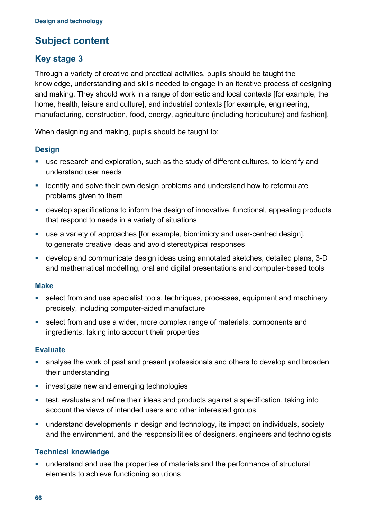# **Subject content**

## **Key stage 3**

Through a variety of creative and practical activities, pupils should be taught the knowledge, understanding and skills needed to engage in an iterative process of designing and making. They should work in a range of domestic and local contexts [for example, the home, health, leisure and culture], and industrial contexts [for example, engineering, manufacturing, construction, food, energy, agriculture (including horticulture) and fashion].

When designing and making, pupils should be taught to:

### **Design**

- use research and exploration, such as the study of different cultures, to identify and understand user needs
- **EXECT** identify and solve their own design problems and understand how to reformulate problems given to them
- develop specifications to inform the design of innovative, functional, appealing products that respond to needs in a variety of situations
- use a variety of approaches [for example, biomimicry and user-centred design], to generate creative ideas and avoid stereotypical responses
- develop and communicate design ideas using annotated sketches, detailed plans, 3-D and mathematical modelling, oral and digital presentations and computer-based tools

#### **Make**

- select from and use specialist tools, techniques, processes, equipment and machinery precisely, including computer-aided manufacture
- select from and use a wider, more complex range of materials, components and ingredients, taking into account their properties

### **Evaluate**

- analyse the work of past and present professionals and others to develop and broaden their understanding
- **EXECUTE:** investigate new and emerging technologies
- test, evaluate and refine their ideas and products against a specification, taking into account the views of intended users and other interested groups
- understand developments in design and technology, its impact on individuals, society and the environment, and the responsibilities of designers, engineers and technologists

### **Technical knowledge**

 understand and use the properties of materials and the performance of structural elements to achieve functioning solutions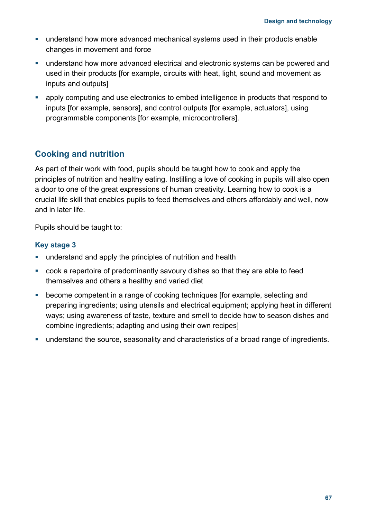- understand how more advanced mechanical systems used in their products enable changes in movement and force
- understand how more advanced electrical and electronic systems can be powered and used in their products [for example, circuits with heat, light, sound and movement as inputs and outputs]
- apply computing and use electronics to embed intelligence in products that respond to inputs [for example, sensors], and control outputs [for example, actuators], using programmable components [for example, microcontrollers].

## **Cooking and nutrition**

As part of their work with food, pupils should be taught how to cook and apply the principles of nutrition and healthy eating. Instilling a love of cooking in pupils will also open a door to one of the great expressions of human creativity. Learning how to cook is a crucial life skill that enables pupils to feed themselves and others affordably and well, now and in later life.

Pupils should be taught to:

#### **Key stage 3**

- **understand and apply the principles of nutrition and health**
- cook a repertoire of predominantly savoury dishes so that they are able to feed themselves and others a healthy and varied diet
- become competent in a range of cooking techniques [for example, selecting and preparing ingredients; using utensils and electrical equipment; applying heat in different ways; using awareness of taste, texture and smell to decide how to season dishes and combine ingredients; adapting and using their own recipes]
- understand the source, seasonality and characteristics of a broad range of ingredients.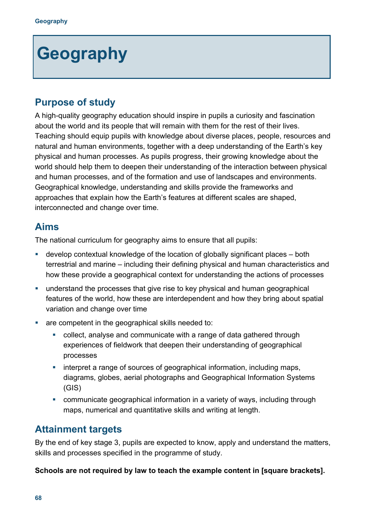# **Geography**

# **Purpose of study**

A high-quality geography education should inspire in pupils a curiosity and fascination about the world and its people that will remain with them for the rest of their lives. Teaching should equip pupils with knowledge about diverse places, people, resources and natural and human environments, together with a deep understanding of the Earth's key physical and human processes. As pupils progress, their growing knowledge about the world should help them to deepen their understanding of the interaction between physical and human processes, and of the formation and use of landscapes and environments. Geographical knowledge, understanding and skills provide the frameworks and approaches that explain how the Earth's features at different scales are shaped, interconnected and change over time.

# **Aims**

The national curriculum for geography aims to ensure that all pupils:

- develop contextual knowledge of the location of globally significant places both terrestrial and marine – including their defining physical and human characteristics and how these provide a geographical context for understanding the actions of processes
- **understand the processes that give rise to key physical and human geographical** features of the world, how these are interdependent and how they bring about spatial variation and change over time
- **a** are competent in the geographical skills needed to:
	- collect, analyse and communicate with a range of data gathered through experiences of fieldwork that deepen their understanding of geographical processes
	- **interpret a range of sources of geographical information, including maps,** diagrams, globes, aerial photographs and Geographical Information Systems (GIS)
	- communicate geographical information in a variety of ways, including through maps, numerical and quantitative skills and writing at length.

# **Attainment targets**

By the end of key stage 3, pupils are expected to know, apply and understand the matters, skills and processes specified in the programme of study.

**Schools are not required by law to teach the example content in [square brackets].**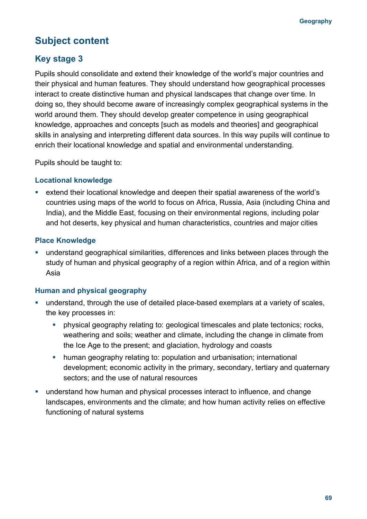# **Subject content**

## **Key stage 3**

Pupils should consolidate and extend their knowledge of the world's major countries and their physical and human features. They should understand how geographical processes interact to create distinctive human and physical landscapes that change over time. In doing so, they should become aware of increasingly complex geographical systems in the world around them. They should develop greater competence in using geographical knowledge, approaches and concepts [such as models and theories] and geographical skills in analysing and interpreting different data sources. In this way pupils will continue to enrich their locational knowledge and spatial and environmental understanding.

Pupils should be taught to:

#### **Locational knowledge**

 extend their locational knowledge and deepen their spatial awareness of the world's countries using maps of the world to focus on Africa, Russia, Asia (including China and India), and the Middle East, focusing on their environmental regions, including polar and hot deserts, key physical and human characteristics, countries and major cities

#### **Place Knowledge**

 understand geographical similarities, differences and links between places through the study of human and physical geography of a region within Africa, and of a region within Asia

### **Human and physical geography**

- understand, through the use of detailed place-based exemplars at a variety of scales, the key processes in:
	- physical geography relating to: geological timescales and plate tectonics; rocks, weathering and soils; weather and climate, including the change in climate from the Ice Age to the present; and glaciation, hydrology and coasts
	- human geography relating to: population and urbanisation; international development; economic activity in the primary, secondary, tertiary and quaternary sectors; and the use of natural resources
- understand how human and physical processes interact to influence, and change landscapes, environments and the climate; and how human activity relies on effective functioning of natural systems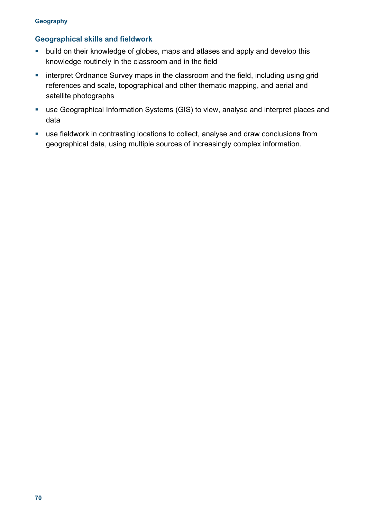#### **Geography**

### **Geographical skills and fieldwork**

- **•** build on their knowledge of globes, maps and atlases and apply and develop this knowledge routinely in the classroom and in the field
- **EXT** interpret Ordnance Survey maps in the classroom and the field, including using grid references and scale, topographical and other thematic mapping, and aerial and satellite photographs
- use Geographical Information Systems (GIS) to view, analyse and interpret places and data
- use fieldwork in contrasting locations to collect, analyse and draw conclusions from geographical data, using multiple sources of increasingly complex information.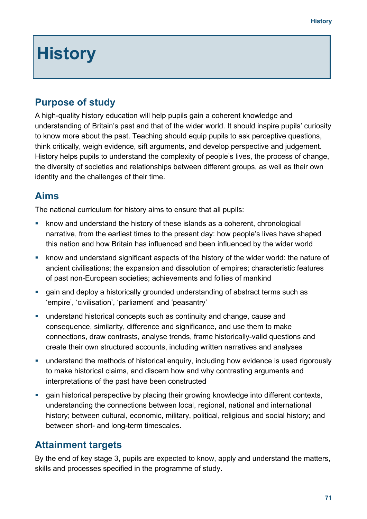# **History**

# **Purpose of study**

A high-quality history education will help pupils gain a coherent knowledge and understanding of Britain's past and that of the wider world. It should inspire pupils' curiosity to know more about the past. Teaching should equip pupils to ask perceptive questions, think critically, weigh evidence, sift arguments, and develop perspective and judgement. History helps pupils to understand the complexity of people's lives, the process of change, the diversity of societies and relationships between different groups, as well as their own identity and the challenges of their time.

## **Aims**

The national curriculum for history aims to ensure that all pupils:

- know and understand the history of these islands as a coherent, chronological narrative, from the earliest times to the present day: how people's lives have shaped this nation and how Britain has influenced and been influenced by the wider world
- know and understand significant aspects of the history of the wider world: the nature of ancient civilisations; the expansion and dissolution of empires; characteristic features of past non-European societies; achievements and follies of mankind
- gain and deploy a historically grounded understanding of abstract terms such as 'empire', 'civilisation', 'parliament' and 'peasantry'
- understand historical concepts such as continuity and change, cause and consequence, similarity, difference and significance, and use them to make connections, draw contrasts, analyse trends, frame historically-valid questions and create their own structured accounts, including written narratives and analyses
- understand the methods of historical enquiry, including how evidence is used rigorously to make historical claims, and discern how and why contrasting arguments and interpretations of the past have been constructed
- gain historical perspective by placing their growing knowledge into different contexts, understanding the connections between local, regional, national and international history; between cultural, economic, military, political, religious and social history; and between short- and long-term timescales.

# **Attainment targets**

By the end of key stage 3, pupils are expected to know, apply and understand the matters, skills and processes specified in the programme of study.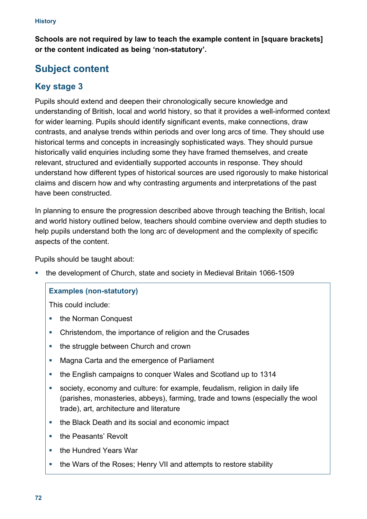**Schools are not required by law to teach the example content in [square brackets] or the content indicated as being 'non-statutory'.**

# **Subject content**

## **Key stage 3**

Pupils should extend and deepen their chronologically secure knowledge and understanding of British, local and world history, so that it provides a well-informed context for wider learning. Pupils should identify significant events, make connections, draw contrasts, and analyse trends within periods and over long arcs of time. They should use historical terms and concepts in increasingly sophisticated ways. They should pursue historically valid enquiries including some they have framed themselves, and create relevant, structured and evidentially supported accounts in response. They should understand how different types of historical sources are used rigorously to make historical claims and discern how and why contrasting arguments and interpretations of the past have been constructed.

In planning to ensure the progression described above through teaching the British, local and world history outlined below, teachers should combine overview and depth studies to help pupils understand both the long arc of development and the complexity of specific aspects of the content.

Pupils should be taught about:

the development of Church, state and society in Medieval Britain 1066-1509

## **Examples (non-statutory)**

This could include:

- the Norman Conquest
- Christendom, the importance of religion and the Crusades
- the struggle between Church and crown
- **Magna Carta and the emergence of Parliament**
- the English campaigns to conquer Wales and Scotland up to 1314
- society, economy and culture: for example, feudalism, religion in daily life (parishes, monasteries, abbeys), farming, trade and towns (especially the wool trade), art, architecture and literature
- the Black Death and its social and economic impact
- **the Peasants' Revolt**
- **the Hundred Years War**
- the Wars of the Roses; Henry VII and attempts to restore stability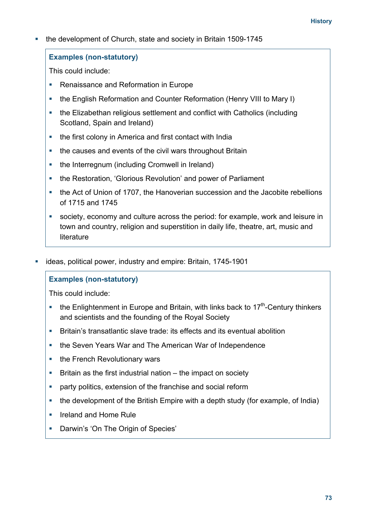the development of Church, state and society in Britain 1509-1745

### **Examples (non-statutory)**

This could include:

- Renaissance and Reformation in Europe
- the English Reformation and Counter Reformation (Henry VIII to Mary I)
- the Elizabethan religious settlement and conflict with Catholics (including Scotland, Spain and Ireland)
- the first colony in America and first contact with India
- the causes and events of the civil wars throughout Britain
- the Interregnum (including Cromwell in Ireland)
- the Restoration, 'Glorious Revolution' and power of Parliament
- the Act of Union of 1707, the Hanoverian succession and the Jacobite rebellions of 1715 and 1745
- society, economy and culture across the period: for example, work and leisure in town and country, religion and superstition in daily life, theatre, art, music and literature
- ideas, political power, industry and empire: Britain, 1745-1901

### **Examples (non-statutory)**

This could include:

- **the Enlightenment in Europe and Britain, with links back to 17<sup>th</sup>-Century thinkers** and scientists and the founding of the Royal Society
- Britain's transatlantic slave trade: its effects and its eventual abolition
- **the Seven Years War and The American War of Independence**
- the French Revolutionary wars
- **Britain as the first industrial nation**  $-$  the impact on society
- **Party politics, extension of the franchise and social reform**
- the development of the British Empire with a depth study (for example, of India)
- **Induced and Home Rule**
- **Darwin's 'On The Origin of Species'**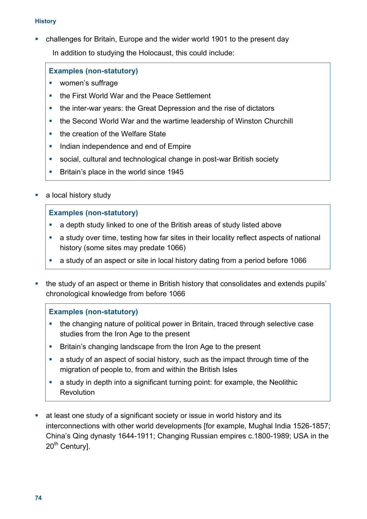#### **History**

challenges for Britain, Europe and the wider world 1901 to the present day

In addition to studying the Holocaust, this could include:

### **Examples (non-statutory)**

- women's suffrage
- **the First World War and the Peace Settlement**
- the inter-war years: the Great Depression and the rise of dictators
- the Second World War and the wartime leadership of Winston Churchill
- the creation of the Welfare State
- Indian independence and end of Empire
- social, cultural and technological change in post-war British society
- Britain's place in the world since 1945

### • a local history study

### **Examples (non-statutory)**

- a depth study linked to one of the British areas of study listed above
- a study over time, testing how far sites in their locality reflect aspects of national history (some sites may predate 1066)
- a study of an aspect or site in local history dating from a period before 1066
- the study of an aspect or theme in British history that consolidates and extends pupils' chronological knowledge from before 1066

### **Examples (non-statutory)**

- the changing nature of political power in Britain, traced through selective case studies from the Iron Age to the present
- **Britain's changing landscape from the Iron Age to the present**
- a study of an aspect of social history, such as the impact through time of the migration of people to, from and within the British Isles
- a study in depth into a significant turning point: for example, the Neolithic **Revolution**
- at least one study of a significant society or issue in world history and its interconnections with other world developments [for example, Mughal India 1526-1857; China's Qing dynasty 1644-1911; Changing Russian empires c.1800-1989; USA in the 20<sup>th</sup> Century].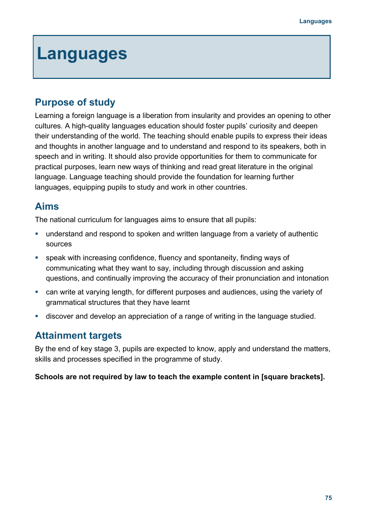# **Languages**

## **Purpose of study**

Learning a foreign language is a liberation from insularity and provides an opening to other cultures. A high-quality languages education should foster pupils' curiosity and deepen their understanding of the world. The teaching should enable pupils to express their ideas and thoughts in another language and to understand and respond to its speakers, both in speech and in writing. It should also provide opportunities for them to communicate for practical purposes, learn new ways of thinking and read great literature in the original language. Language teaching should provide the foundation for learning further languages, equipping pupils to study and work in other countries.

### **Aims**

The national curriculum for languages aims to ensure that all pupils:

- understand and respond to spoken and written language from a variety of authentic sources
- speak with increasing confidence, fluency and spontaneity, finding ways of communicating what they want to say, including through discussion and asking questions, and continually improving the accuracy of their pronunciation and intonation
- can write at varying length, for different purposes and audiences, using the variety of grammatical structures that they have learnt
- discover and develop an appreciation of a range of writing in the language studied.

### **Attainment targets**

By the end of key stage 3, pupils are expected to know, apply and understand the matters, skills and processes specified in the programme of study.

**Schools are not required by law to teach the example content in [square brackets].**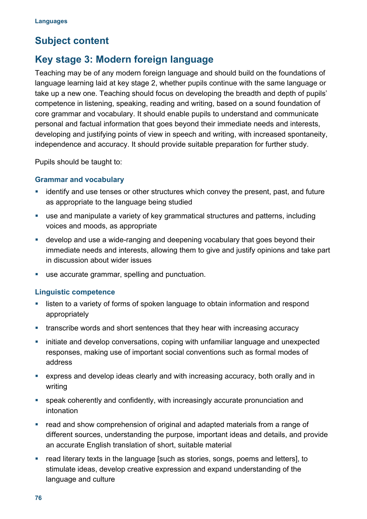## **Subject content**

## **Key stage 3: Modern foreign language**

Teaching may be of any modern foreign language and should build on the foundations of language learning laid at key stage 2, whether pupils continue with the same language or take up a new one. Teaching should focus on developing the breadth and depth of pupils' competence in listening, speaking, reading and writing, based on a sound foundation of core grammar and vocabulary. It should enable pupils to understand and communicate personal and factual information that goes beyond their immediate needs and interests, developing and justifying points of view in speech and writing, with increased spontaneity, independence and accuracy. It should provide suitable preparation for further study.

Pupils should be taught to:

#### **Grammar and vocabulary**

- **EXECT** identify and use tenses or other structures which convey the present, past, and future as appropriate to the language being studied
- use and manipulate a variety of key grammatical structures and patterns, including voices and moods, as appropriate
- develop and use a wide-ranging and deepening vocabulary that goes beyond their immediate needs and interests, allowing them to give and justify opinions and take part in discussion about wider issues
- use accurate grammar, spelling and punctuation.

#### **Linguistic competence**

- **EXT** listen to a variety of forms of spoken language to obtain information and respond appropriately
- **the transcribe words and short sentences that they hear with increasing accuracy**
- initiate and develop conversations, coping with unfamiliar language and unexpected responses, making use of important social conventions such as formal modes of address
- express and develop ideas clearly and with increasing accuracy, both orally and in writing
- speak coherently and confidently, with increasingly accurate pronunciation and intonation
- read and show comprehension of original and adapted materials from a range of different sources, understanding the purpose, important ideas and details, and provide an accurate English translation of short, suitable material
- **F** read literary texts in the language [such as stories, songs, poems and letters], to stimulate ideas, develop creative expression and expand understanding of the language and culture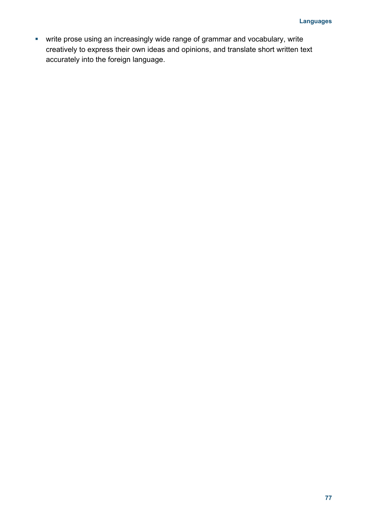write prose using an increasingly wide range of grammar and vocabulary, write creatively to express their own ideas and opinions, and translate short written text accurately into the foreign language.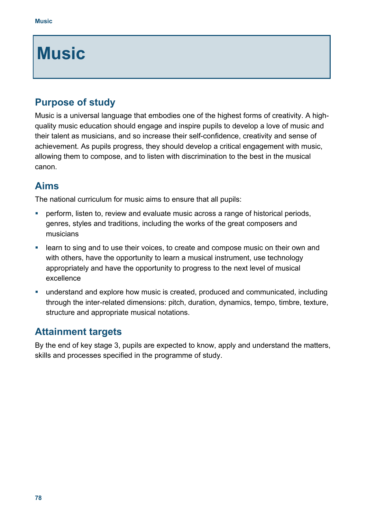# **Music**

## **Purpose of study**

Music is a universal language that embodies one of the highest forms of creativity. A highquality music education should engage and inspire pupils to develop a love of music and their talent as musicians, and so increase their self-confidence, creativity and sense of achievement. As pupils progress, they should develop a critical engagement with music, allowing them to compose, and to listen with discrimination to the best in the musical canon.

# **Aims**

The national curriculum for music aims to ensure that all pupils:

- **•** perform, listen to, review and evaluate music across a range of historical periods, genres, styles and traditions, including the works of the great composers and musicians
- learn to sing and to use their voices, to create and compose music on their own and with others, have the opportunity to learn a musical instrument, use technology appropriately and have the opportunity to progress to the next level of musical excellence
- understand and explore how music is created, produced and communicated, including through the inter-related dimensions: pitch, duration, dynamics, tempo, timbre, texture, structure and appropriate musical notations.

## **Attainment targets**

By the end of key stage 3, pupils are expected to know, apply and understand the matters, skills and processes specified in the programme of study.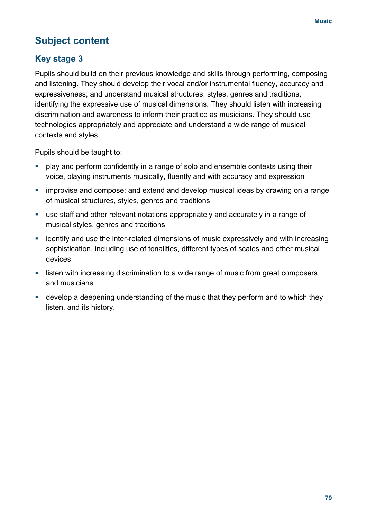# **Subject content**

### **Key stage 3**

Pupils should build on their previous knowledge and skills through performing, composing and listening. They should develop their vocal and/or instrumental fluency, accuracy and expressiveness; and understand musical structures, styles, genres and traditions, identifying the expressive use of musical dimensions. They should listen with increasing discrimination and awareness to inform their practice as musicians. They should use technologies appropriately and appreciate and understand a wide range of musical contexts and styles.

Pupils should be taught to:

- play and perform confidently in a range of solo and ensemble contexts using their voice, playing instruments musically, fluently and with accuracy and expression
- **EXTERN** improvise and compose; and extend and develop musical ideas by drawing on a range of musical structures, styles, genres and traditions
- use staff and other relevant notations appropriately and accurately in a range of musical styles, genres and traditions
- **EXEDENT** identify and use the inter-related dimensions of music expressively and with increasing sophistication, including use of tonalities, different types of scales and other musical devices
- **EXECT** listen with increasing discrimination to a wide range of music from great composers and musicians
- develop a deepening understanding of the music that they perform and to which they listen, and its history.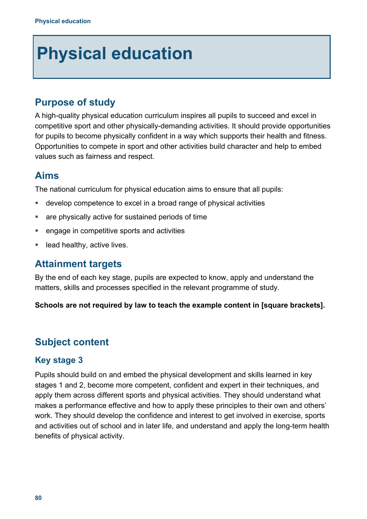# **Physical education**

## **Purpose of study**

A high-quality physical education curriculum inspires all pupils to succeed and excel in competitive sport and other physically-demanding activities. It should provide opportunities for pupils to become physically confident in a way which supports their health and fitness. Opportunities to compete in sport and other activities build character and help to embed values such as fairness and respect.

## **Aims**

The national curriculum for physical education aims to ensure that all pupils:

- develop competence to excel in a broad range of physical activities
- **are physically active for sustained periods of time**
- **EXECUTE:** engage in competitive sports and activities
- **Lead healthy, active lives.**

## **Attainment targets**

By the end of each key stage, pupils are expected to know, apply and understand the matters, skills and processes specified in the relevant programme of study.

**Schools are not required by law to teach the example content in [square brackets].** 

## **Subject content**

### **Key stage 3**

Pupils should build on and embed the physical development and skills learned in key stages 1 and 2, become more competent, confident and expert in their techniques, and apply them across different sports and physical activities. They should understand what makes a performance effective and how to apply these principles to their own and others' work. They should develop the confidence and interest to get involved in exercise, sports and activities out of school and in later life, and understand and apply the long-term health benefits of physical activity.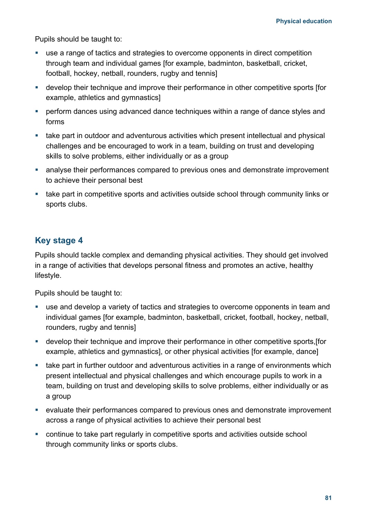Pupils should be taught to:

- use a range of tactics and strategies to overcome opponents in direct competition through team and individual games [for example, badminton, basketball, cricket, football, hockey, netball, rounders, rugby and tennis]
- develop their technique and improve their performance in other competitive sports [for example, athletics and gymnastics]
- **Perform dances using advanced dance techniques within a range of dance styles and** forms
- take part in outdoor and adventurous activities which present intellectual and physical challenges and be encouraged to work in a team, building on trust and developing skills to solve problems, either individually or as a group
- analyse their performances compared to previous ones and demonstrate improvement to achieve their personal best
- take part in competitive sports and activities outside school through community links or sports clubs.

### **Key stage 4**

Pupils should tackle complex and demanding physical activities. They should get involved in a range of activities that develops personal fitness and promotes an active, healthy lifestyle.

Pupils should be taught to:

- use and develop a variety of tactics and strategies to overcome opponents in team and individual games [for example, badminton, basketball, cricket, football, hockey, netball, rounders, rugby and tennis]
- develop their technique and improve their performance in other competitive sports,[for example, athletics and gymnastics], or other physical activities [for example, dance]
- take part in further outdoor and adventurous activities in a range of environments which present intellectual and physical challenges and which encourage pupils to work in a team, building on trust and developing skills to solve problems, either individually or as a group
- evaluate their performances compared to previous ones and demonstrate improvement across a range of physical activities to achieve their personal best
- continue to take part regularly in competitive sports and activities outside school through community links or sports clubs.